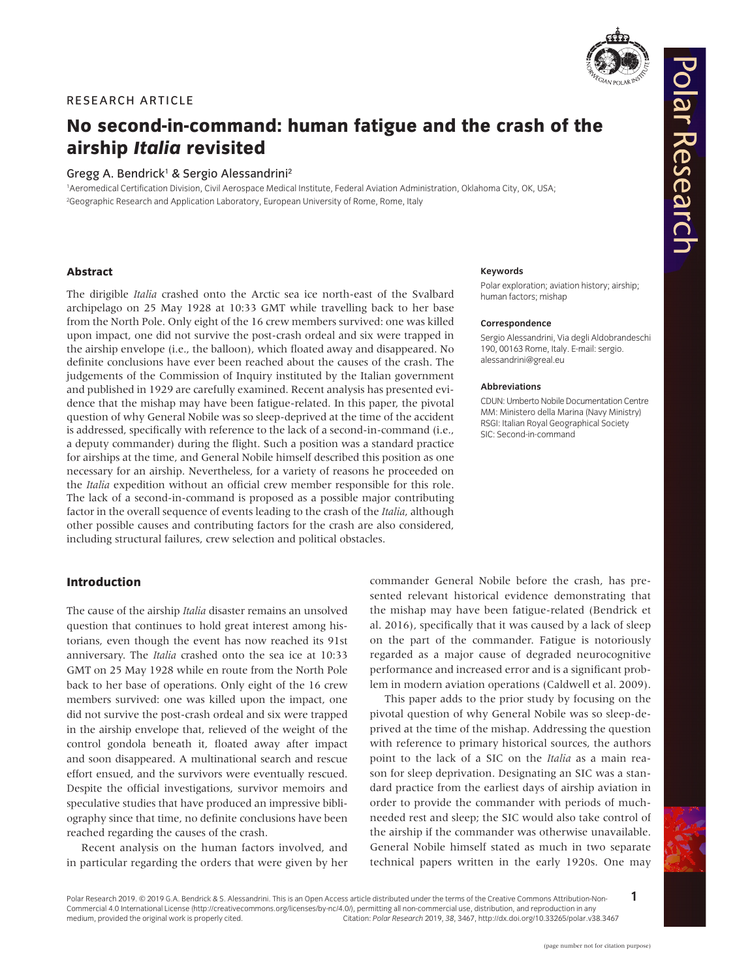

Polar Research

# RESEARCH ARTICLE

# **No second-in-command: human fatigue and the crash of the airship** *Italia* **revisited**

## Gregg A. Bendrick<sup>1</sup> & Sergio Alessandrini<sup>2</sup>

1 Aeromedical Certification Division, Civil Aerospace Medical Institute, Federal Aviation Administration, Oklahoma City, OK, USA; 2 Geographic Research and Application Laboratory, European University of Rome, Rome, Italy

## **Abstract**

The dirigible *Italia* crashed onto the Arctic sea ice north-east of the Svalbard archipelago on 25 May 1928 at 10:33 GMT while travelling back to her base from the North Pole. Only eight of the 16 crew members survived: one was killed upon impact, one did not survive the post-crash ordeal and six were trapped in the airship envelope (i.e., the balloon), which floated away and disappeared. No definite conclusions have ever been reached about the causes of the crash. The judgements of the Commission of Inquiry instituted by the Italian government and published in 1929 are carefully examined. Recent analysis has presented evidence that the mishap may have been fatigue-related. In this paper, the pivotal question of why General Nobile was so sleep-deprived at the time of the accident is addressed, specifically with reference to the lack of a second-in-command (i.e., a deputy commander) during the flight. Such a position was a standard practice for airships at the time, and General Nobile himself described this position as one necessary for an airship. Nevertheless, for a variety of reasons he proceeded on the *Italia* expedition without an official crew member responsible for this role. The lack of a second-in-command is proposed as a possible major contributing factor in the overall sequence of events leading to the crash of the *Italia*, although other possible causes and contributing factors for the crash are also considered, including structural failures, crew selection and political obstacles.

# **Introduction**

The cause of the airship *Italia* disaster remains an unsolved question that continues to hold great interest among historians, even though the event has now reached its 91st anniversary. The *Italia* crashed onto the sea ice at 10:33 GMT on 25 May 1928 while en route from the North Pole back to her base of operations. Only eight of the 16 crew members survived: one was killed upon the impact, one did not survive the post-crash ordeal and six were trapped in the airship envelope that, relieved of the weight of the control gondola beneath it, floated away after impact and soon disappeared. A multinational search and rescue effort ensued, and the survivors were eventually rescued. Despite the official investigations, survivor memoirs and speculative studies that have produced an impressive bibliography since that time, no definite conclusions have been reached regarding the causes of the crash.

Recent analysis on the human factors involved, and in particular regarding the orders that were given by her

#### **Keywords**

Polar exploration; aviation history; airship; human factors; mishap

#### **Correspondence**

Sergio Alessandrini, Via degli Aldobrandeschi 190, 00163 Rome, Italy. E-mail: [sergio.](mailto:sergio.alessandrini@greal.eu) [alessandrini@greal.eu](mailto:sergio.alessandrini@greal.eu)

#### **Abbreviations**

CDUN: Umberto Nobile Documentation Centre MM: Ministero della Marina (Navy Ministry) RSGI: Italian Royal Geographical Society SIC: Second-in-command

commander General Nobile before the crash, has presented relevant historical evidence demonstrating that the mishap may have been fatigue-related (Bendrick et al. 2016), specifically that it was caused by a lack of sleep on the part of the commander. Fatigue is notoriously regarded as a major cause of degraded neurocognitive performance and increased error and is a significant problem in modern aviation operations (Caldwell et al. 2009).

This paper adds to the prior study by focusing on the pivotal question of why General Nobile was so sleep-deprived at the time of the mishap. Addressing the question with reference to primary historical sources, the authors point to the lack of a SIC on the *Italia* as a main reason for sleep deprivation. Designating an SIC was a standard practice from the earliest days of airship aviation in order to provide the commander with periods of muchneeded rest and sleep; the SIC would also take control of the airship if the commander was otherwise unavailable. General Nobile himself stated as much in two separate technical papers written in the early 1920s. One may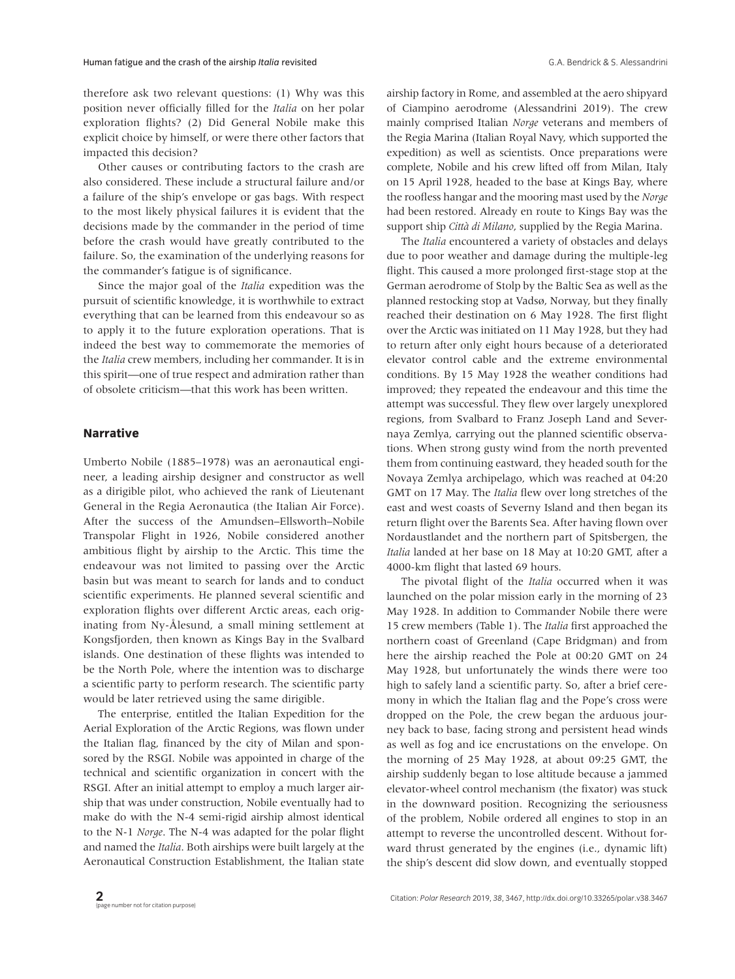therefore ask two relevant questions: (1) Why was this position never officially filled for the *Italia* on her polar exploration flights? (2) Did General Nobile make this explicit choice by himself, or were there other factors that impacted this decision?

Other causes or contributing factors to the crash are also considered. These include a structural failure and/or a failure of the ship's envelope or gas bags. With respect to the most likely physical failures it is evident that the decisions made by the commander in the period of time before the crash would have greatly contributed to the failure. So, the examination of the underlying reasons for the commander's fatigue is of significance.

Since the major goal of the *Italia* expedition was the pursuit of scientific knowledge, it is worthwhile to extract everything that can be learned from this endeavour so as to apply it to the future exploration operations. That is indeed the best way to commemorate the memories of the *Italia* crew members, including her commander. It is in this spirit—one of true respect and admiration rather than of obsolete criticism—that this work has been written.

#### **Narrative**

Umberto Nobile (1885–1978) was an aeronautical engineer, a leading airship designer and constructor as well as a dirigible pilot, who achieved the rank of Lieutenant General in the Regia Aeronautica (the Italian Air Force). After the success of the Amundsen–Ellsworth–Nobile Transpolar Flight in 1926, Nobile considered another ambitious flight by airship to the Arctic. This time the endeavour was not limited to passing over the Arctic basin but was meant to search for lands and to conduct scientific experiments. He planned several scientific and exploration flights over different Arctic areas, each originating from Ny-Ålesund, a small mining settlement at Kongsfjorden, then known as Kings Bay in the Svalbard islands. One destination of these flights was intended to be the North Pole, where the intention was to discharge a scientific party to perform research. The scientific party would be later retrieved using the same dirigible.

The enterprise, entitled the Italian Expedition for the Aerial Exploration of the Arctic Regions, was flown under the Italian flag, financed by the city of Milan and sponsored by the RSGI. Nobile was appointed in charge of the technical and scientific organization in concert with the RSGI. After an initial attempt to employ a much larger airship that was under construction, Nobile eventually had to make do with the N-4 semi-rigid airship almost identical to the N-1 *Norge*. The N-4 was adapted for the polar flight and named the *Italia*. Both airships were built largely at the Aeronautical Construction Establishment, the Italian state airship factory in Rome, and assembled at the aero shipyard of Ciampino aerodrome (Alessandrini 2019). The crew mainly comprised Italian *Norge* veterans and members of the Regia Marina (Italian Royal Navy, which supported the expedition) as well as scientists. Once preparations were complete, Nobile and his crew lifted off from Milan, Italy on 15 April 1928, headed to the base at Kings Bay, where the roofless hangar and the mooring mast used by the *Norge* had been restored. Already en route to Kings Bay was the support ship *Città di Milano*, supplied by the Regia Marina.

The *Italia* encountered a variety of obstacles and delays due to poor weather and damage during the multiple-leg flight. This caused a more prolonged first-stage stop at the German aerodrome of Stolp by the Baltic Sea as well as the planned restocking stop at Vadsø, Norway, but they finally reached their destination on 6 May 1928. The first flight over the Arctic was initiated on 11 May 1928, but they had to return after only eight hours because of a deteriorated elevator control cable and the extreme environmental conditions. By 15 May 1928 the weather conditions had improved; they repeated the endeavour and this time the attempt was successful. They flew over largely unexplored regions, from Svalbard to Franz Joseph Land and Severnaya Zemlya, carrying out the planned scientific observations. When strong gusty wind from the north prevented them from continuing eastward, they headed south for the Novaya Zemlya archipelago, which was reached at 04:20 GMT on 17 May. The *Italia* flew over long stretches of the east and west coasts of Severny Island and then began its return flight over the Barents Sea. After having flown over Nordaustlandet and the northern part of Spitsbergen, the *Italia* landed at her base on 18 May at 10:20 GMT, after a 4000-km flight that lasted 69 hours.

The pivotal flight of the *Italia* occurred when it was launched on the polar mission early in the morning of 23 May 1928. In addition to Commander Nobile there were 15 crew members (Table 1). The *Italia* first approached the northern coast of Greenland (Cape Bridgman) and from here the airship reached the Pole at 00:20 GMT on 24 May 1928, but unfortunately the winds there were too high to safely land a scientific party. So, after a brief ceremony in which the Italian flag and the Pope's cross were dropped on the Pole, the crew began the arduous journey back to base, facing strong and persistent head winds as well as fog and ice encrustations on the envelope. On the morning of 25 May 1928, at about 09:25 GMT, the airship suddenly began to lose altitude because a jammed elevator-wheel control mechanism (the fixator) was stuck in the downward position. Recognizing the seriousness of the problem, Nobile ordered all engines to stop in an attempt to reverse the uncontrolled descent. Without forward thrust generated by the engines (i.e., dynamic lift) the ship's descent did slow down, and eventually stopped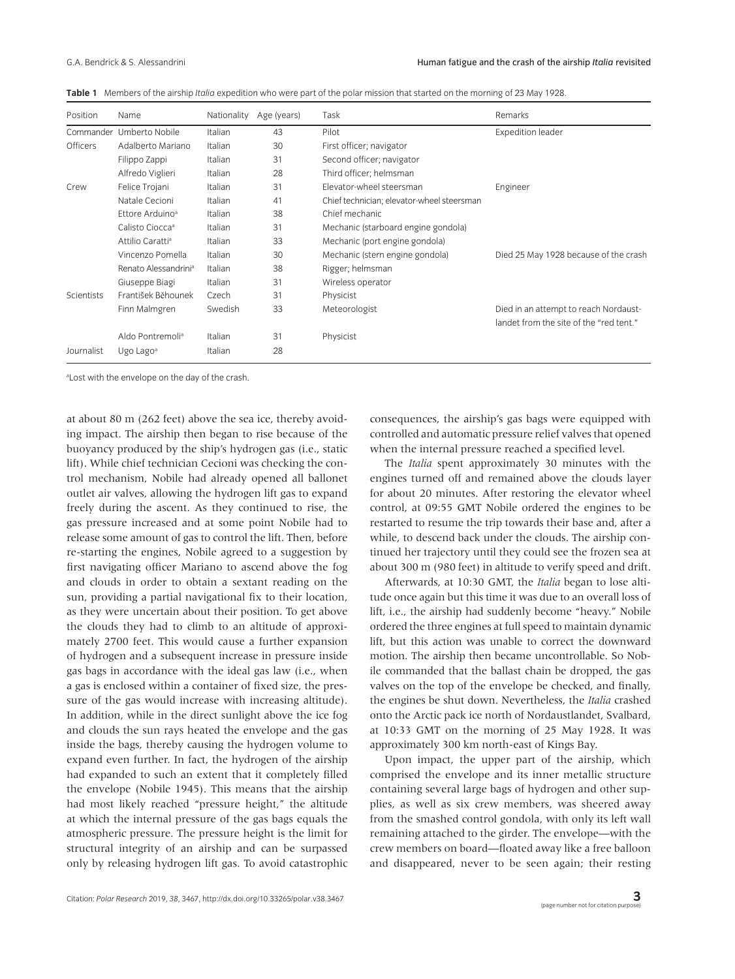|  |  |  |  | Table 1 Members of the airship Italia expedition who were part of the polar mission that started on the morning of 23 May 1928. |  |
|--|--|--|--|---------------------------------------------------------------------------------------------------------------------------------|--|
|--|--|--|--|---------------------------------------------------------------------------------------------------------------------------------|--|

| Position        | Name                             | Nationality | Age (years) | Task                                       | Remarks                                                                          |
|-----------------|----------------------------------|-------------|-------------|--------------------------------------------|----------------------------------------------------------------------------------|
|                 | Commander Umberto Nobile         | Italian     | 43          | Pilot                                      | <b>Expedition leader</b>                                                         |
| <b>Officers</b> | Adalberto Mariano                | Italian     | 30          | First officer; navigator                   |                                                                                  |
|                 | Filippo Zappi                    | Italian     | 31          | Second officer; navigator                  |                                                                                  |
|                 | Alfredo Viglieri                 | Italian     | 28          | Third officer; helmsman                    |                                                                                  |
| Crew            | Felice Trojani                   | Italian     | 31          | Elevator-wheel steersman                   | Engineer                                                                         |
|                 | Natale Cecioni                   | Italian     | 41          | Chief technician; elevator-wheel steersman |                                                                                  |
|                 | Ettore Arduino <sup>a</sup>      | Italian     | 38          | Chief mechanic                             |                                                                                  |
|                 | Calisto Ciocca <sup>a</sup>      | Italian     | 31          | Mechanic (starboard engine gondola)        |                                                                                  |
|                 | Attilio Caratti <sup>a</sup>     | Italian     | 33          | Mechanic (port engine gondola)             |                                                                                  |
|                 | Vincenzo Pomella                 | Italian     | 30          | Mechanic (stern engine gondola)            | Died 25 May 1928 because of the crash                                            |
|                 | Renato Alessandrini <sup>a</sup> | Italian     | 38          | Rigger; helmsman                           |                                                                                  |
|                 | Giuseppe Biagi                   | Italian     | 31          | Wireless operator                          |                                                                                  |
| Scientists      | František Běhounek               | Czech       | 31          | Physicist                                  |                                                                                  |
|                 | Finn Malmgren                    | Swedish     | 33          | Meteorologist                              | Died in an attempt to reach Nordaust-<br>landet from the site of the "red tent." |
|                 | Aldo Pontremoli <sup>a</sup>     | Italian     | 31          | Physicist                                  |                                                                                  |
| Journalist      | Ugo Lago <sup>a</sup>            | Italian     | 28          |                                            |                                                                                  |

<sup>a</sup> Lost with the envelope on the day of the crash.

at about 80 m (262 feet) above the sea ice, thereby avoiding impact. The airship then began to rise because of the buoyancy produced by the ship's hydrogen gas (i.e., static lift). While chief technician Cecioni was checking the control mechanism, Nobile had already opened all ballonet outlet air valves, allowing the hydrogen lift gas to expand freely during the ascent. As they continued to rise, the gas pressure increased and at some point Nobile had to release some amount of gas to control the lift. Then, before re-starting the engines, Nobile agreed to a suggestion by first navigating officer Mariano to ascend above the fog and clouds in order to obtain a sextant reading on the sun, providing a partial navigational fix to their location, as they were uncertain about their position. To get above the clouds they had to climb to an altitude of approximately 2700 feet. This would cause a further expansion of hydrogen and a subsequent increase in pressure inside gas bags in accordance with the ideal gas law (i.e., when a gas is enclosed within a container of fixed size, the pressure of the gas would increase with increasing altitude). In addition, while in the direct sunlight above the ice fog and clouds the sun rays heated the envelope and the gas inside the bags, thereby causing the hydrogen volume to expand even further. In fact, the hydrogen of the airship had expanded to such an extent that it completely filled the envelope (Nobile 1945). This means that the airship had most likely reached "pressure height," the altitude at which the internal pressure of the gas bags equals the atmospheric pressure. The pressure height is the limit for structural integrity of an airship and can be surpassed only by releasing hydrogen lift gas. To avoid catastrophic

consequences, the airship's gas bags were equipped with controlled and automatic pressure relief valves that opened when the internal pressure reached a specified level.

The *Italia* spent approximately 30 minutes with the engines turned off and remained above the clouds layer for about 20 minutes. After restoring the elevator wheel control, at 09:55 GMT Nobile ordered the engines to be restarted to resume the trip towards their base and, after a while, to descend back under the clouds. The airship continued her trajectory until they could see the frozen sea at about 300 m (980 feet) in altitude to verify speed and drift.

Afterwards, at 10:30 GMT, the *Italia* began to lose altitude once again but this time it was due to an overall loss of lift, i.e., the airship had suddenly become "heavy." Nobile ordered the three engines at full speed to maintain dynamic lift, but this action was unable to correct the downward motion. The airship then became uncontrollable. So Nobile commanded that the ballast chain be dropped, the gas valves on the top of the envelope be checked, and finally, the engines be shut down. Nevertheless, the *Italia* crashed onto the Arctic pack ice north of Nordaustlandet, Svalbard, at 10:33 GMT on the morning of 25 May 1928. It was approximately 300 km north-east of Kings Bay.

Upon impact, the upper part of the airship, which comprised the envelope and its inner metallic structure containing several large bags of hydrogen and other supplies, as well as six crew members, was sheered away from the smashed control gondola, with only its left wall remaining attached to the girder. The envelope—with the crew members on board—floated away like a free balloon and disappeared, never to be seen again; their resting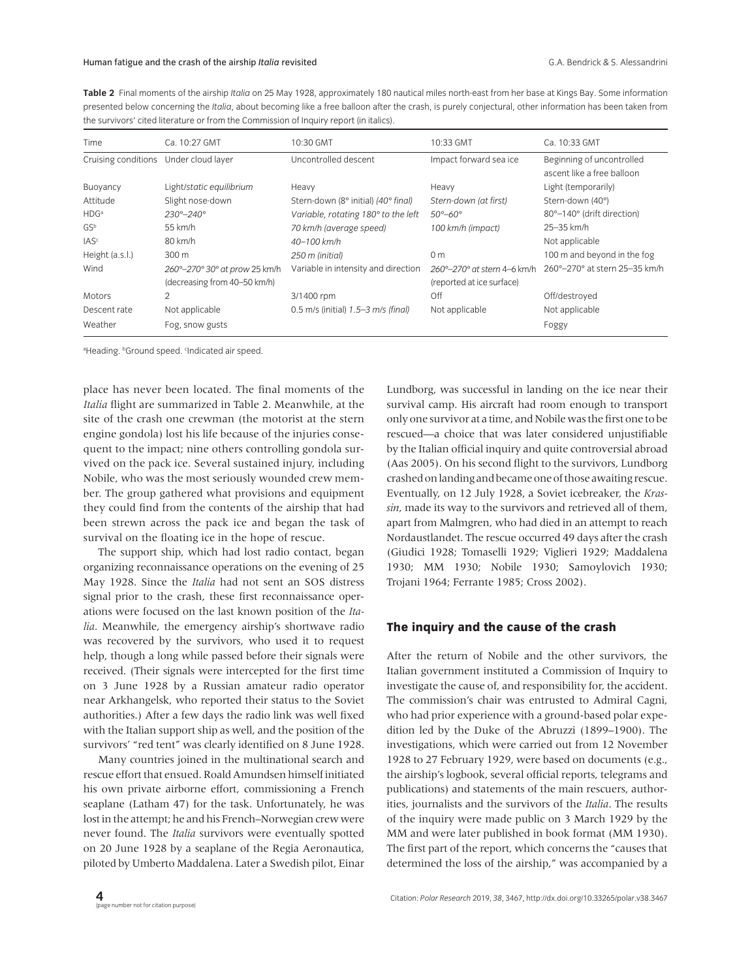**Table 2** Final moments of the airship *Italia* on 25 May 1928, approximately 180 nautical miles north-east from her base at Kings Bay. Some information presented below concerning the *Italia*, about becoming like a free balloon after the crash, is purely conjectural, other information has been taken from the survivors' cited literature or from the Commission of Inquiry report (in italics).

| Time                | Ca. 10:27 GMT                                                 | 10:30 GMT                           | 10:33 GMT                                                | Ca. 10:33 GMT                                           |
|---------------------|---------------------------------------------------------------|-------------------------------------|----------------------------------------------------------|---------------------------------------------------------|
| Cruising conditions | Under cloud layer                                             | Uncontrolled descent                | Impact forward sea ice                                   | Beginning of uncontrolled<br>ascent like a free balloon |
| Buoyancy            | Light/static equilibrium                                      | Heavy                               | Heavy                                                    | Light (temporarily)                                     |
| Attitude            | Slight nose-down                                              | Stern-down (8° initial) (40° final) | Stern-down (at first)                                    | Stern-down (40°)                                        |
| HDG <sup>a</sup>    | $230^{\circ} - 240^{\circ}$                                   | Variable, rotating 180° to the left | $50^{\circ} - 60^{\circ}$                                | 80°-140° (drift direction)                              |
| GS <sup>b</sup>     | 55 km/h                                                       | 70 km/h (average speed)             | 100 km/h (impact)                                        | 25-35 km/h                                              |
| IAS <sup>c</sup>    | 80 km/h                                                       | $40 - 100$ km/h                     |                                                          | Not applicable                                          |
| Height (a.s.l.)     | 300 m                                                         | 250 m (initial)                     | 0 <sub>m</sub>                                           | 100 m and beyond in the fog                             |
| Wind                | 260°-270° 30° at prow 25 km/h<br>(decreasing from 40-50 km/h) | Variable in intensity and direction | 260°-270° at stern 4-6 km/h<br>(reported at ice surface) | 260°-270° at stern 25-35 km/h                           |
| Motors              | 2                                                             | 3/1400 rpm                          | Off                                                      | Off/destroyed                                           |
| Descent rate        | Not applicable                                                | 0.5 m/s (initial) 1.5-3 m/s (final) | Not applicable                                           | Not applicable                                          |
| Weather             | Fog, snow gusts                                               |                                     |                                                          | Foggy                                                   |

<sup>a</sup>Heading. <sup>6</sup>Ground speed. <sup>c</sup>Indicated air speed.

place has never been located. The final moments of the *Italia* flight are summarized in Table 2. Meanwhile, at the site of the crash one crewman (the motorist at the stern engine gondola) lost his life because of the injuries consequent to the impact; nine others controlling gondola survived on the pack ice. Several sustained injury, including Nobile, who was the most seriously wounded crew member. The group gathered what provisions and equipment they could find from the contents of the airship that had been strewn across the pack ice and began the task of survival on the floating ice in the hope of rescue.

The support ship, which had lost radio contact, began organizing reconnaissance operations on the evening of 25 May 1928. Since the *Italia* had not sent an SOS distress signal prior to the crash, these first reconnaissance operations were focused on the last known position of the *Italia*. Meanwhile, the emergency airship's shortwave radio was recovered by the survivors, who used it to request help, though a long while passed before their signals were received. (Their signals were intercepted for the first time on 3 June 1928 by a Russian amateur radio operator near Arkhangelsk, who reported their status to the Soviet authorities.) After a few days the radio link was well fixed with the Italian support ship as well, and the position of the survivors' "red tent" was clearly identified on 8 June 1928.

Many countries joined in the multinational search and rescue effort that ensued. Roald Amundsen himself initiated his own private airborne effort, commissioning a French seaplane (Latham 47) for the task. Unfortunately, he was lost in the attempt; he and his French–Norwegian crew were never found. The *Italia* survivors were eventually spotted on 20 June 1928 by a seaplane of the Regia Aeronautica, piloted by Umberto Maddalena. Later a Swedish pilot, Einar Lundborg, was successful in landing on the ice near their survival camp. His aircraft had room enough to transport only one survivor at a time, and Nobile was the first one to be rescued—a choice that was later considered unjustifiable by the Italian official inquiry and quite controversial abroad (Aas 2005). On his second flight to the survivors, Lundborg crashed on landing and became one of those awaiting rescue. Eventually, on 12 July 1928, a Soviet icebreaker, the *Krassin*, made its way to the survivors and retrieved all of them, apart from Malmgren, who had died in an attempt to reach Nordaustlandet. The rescue occurred 49 days after the crash (Giudici 1928; Tomaselli 1929; Viglieri 1929; Maddalena 1930; MM 1930; Nobile 1930; Samoylovich 1930; Trojani 1964; Ferrante 1985; Cross 2002).

#### **The inquiry and the cause of the crash**

After the return of Nobile and the other survivors, the Italian government instituted a Commission of Inquiry to investigate the cause of, and responsibility for, the accident. The commission's chair was entrusted to Admiral Cagni, who had prior experience with a ground-based polar expedition led by the Duke of the Abruzzi (1899–1900). The investigations, which were carried out from 12 November 1928 to 27 February 1929, were based on documents (e.g., the airship's logbook, several official reports, telegrams and publications) and statements of the main rescuers, authorities, journalists and the survivors of the *Italia*. The results of the inquiry were made public on 3 March 1929 by the MM and were later published in book format (MM 1930). The first part of the report, which concerns the "causes that determined the loss of the airship," was accompanied by a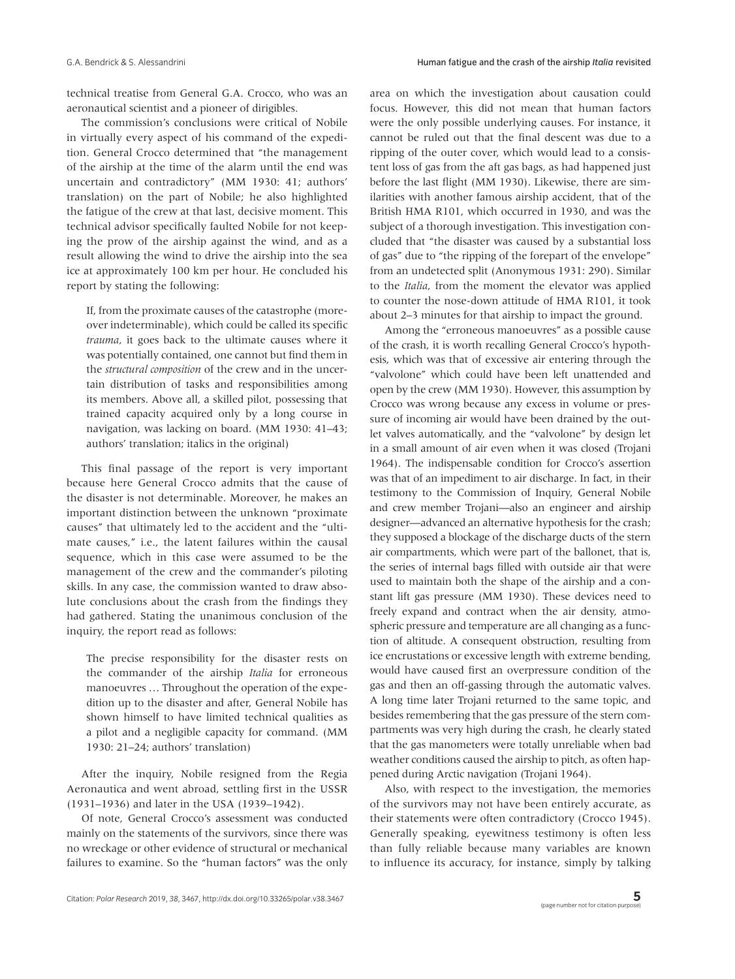technical treatise from General G.A. Crocco, who was an aeronautical scientist and a pioneer of dirigibles.

The commission's conclusions were critical of Nobile in virtually every aspect of his command of the expedition. General Crocco determined that "the management of the airship at the time of the alarm until the end was uncertain and contradictory" (MM 1930: 41; authors' translation) on the part of Nobile; he also highlighted the fatigue of the crew at that last, decisive moment. This technical advisor specifically faulted Nobile for not keeping the prow of the airship against the wind, and as a result allowing the wind to drive the airship into the sea ice at approximately 100 km per hour. He concluded his report by stating the following:

If, from the proximate causes of the catastrophe (moreover indeterminable), which could be called its specific *trauma*, it goes back to the ultimate causes where it was potentially contained, one cannot but find them in the *structural composition* of the crew and in the uncertain distribution of tasks and responsibilities among its members. Above all, a skilled pilot, possessing that trained capacity acquired only by a long course in navigation, was lacking on board. (MM 1930: 41–43; authors' translation; italics in the original)

This final passage of the report is very important because here General Crocco admits that the cause of the disaster is not determinable. Moreover, he makes an important distinction between the unknown "proximate causes" that ultimately led to the accident and the "ultimate causes," i.e., the latent failures within the causal sequence, which in this case were assumed to be the management of the crew and the commander's piloting skills. In any case, the commission wanted to draw absolute conclusions about the crash from the findings they had gathered. Stating the unanimous conclusion of the inquiry, the report read as follows:

The precise responsibility for the disaster rests on the commander of the airship *Italia* for erroneous manoeuvres … Throughout the operation of the expedition up to the disaster and after, General Nobile has shown himself to have limited technical qualities as a pilot and a negligible capacity for command. (MM 1930: 21–24; authors' translation)

After the inquiry, Nobile resigned from the Regia Aeronautica and went abroad, settling first in the USSR (1931–1936) and later in the USA (1939–1942).

Of note, General Crocco's assessment was conducted mainly on the statements of the survivors, since there was no wreckage or other evidence of structural or mechanical failures to examine. So the "human factors" was the only area on which the investigation about causation could focus. However, this did not mean that human factors were the only possible underlying causes. For instance, it cannot be ruled out that the final descent was due to a ripping of the outer cover, which would lead to a consistent loss of gas from the aft gas bags, as had happened just before the last flight (MM 1930). Likewise, there are similarities with another famous airship accident, that of the British HMA R101, which occurred in 1930, and was the subject of a thorough investigation. This investigation concluded that "the disaster was caused by a substantial loss of gas" due to "the ripping of the forepart of the envelope" from an undetected split (Anonymous 1931: 290). Similar to the *Italia*, from the moment the elevator was applied to counter the nose-down attitude of HMA R101, it took about 2–3 minutes for that airship to impact the ground.

Among the "erroneous manoeuvres" as a possible cause of the crash, it is worth recalling General Crocco's hypothesis, which was that of excessive air entering through the "valvolone" which could have been left unattended and open by the crew (MM 1930). However, this assumption by Crocco was wrong because any excess in volume or pressure of incoming air would have been drained by the outlet valves automatically, and the "valvolone" by design let in a small amount of air even when it was closed (Trojani 1964). The indispensable condition for Crocco's assertion was that of an impediment to air discharge. In fact, in their testimony to the Commission of Inquiry, General Nobile and crew member Trojani—also an engineer and airship designer—advanced an alternative hypothesis for the crash; they supposed a blockage of the discharge ducts of the stern air compartments, which were part of the ballonet, that is, the series of internal bags filled with outside air that were used to maintain both the shape of the airship and a constant lift gas pressure (MM 1930). These devices need to freely expand and contract when the air density, atmospheric pressure and temperature are all changing as a function of altitude. A consequent obstruction, resulting from ice encrustations or excessive length with extreme bending, would have caused first an overpressure condition of the gas and then an off-gassing through the automatic valves. A long time later Trojani returned to the same topic, and besides remembering that the gas pressure of the stern compartments was very high during the crash, he clearly stated that the gas manometers were totally unreliable when bad weather conditions caused the airship to pitch, as often happened during Arctic navigation (Trojani 1964).

Also, with respect to the investigation, the memories of the survivors may not have been entirely accurate, as their statements were often contradictory (Crocco 1945). Generally speaking, eyewitness testimony is often less than fully reliable because many variables are known to influence its accuracy, for instance, simply by talking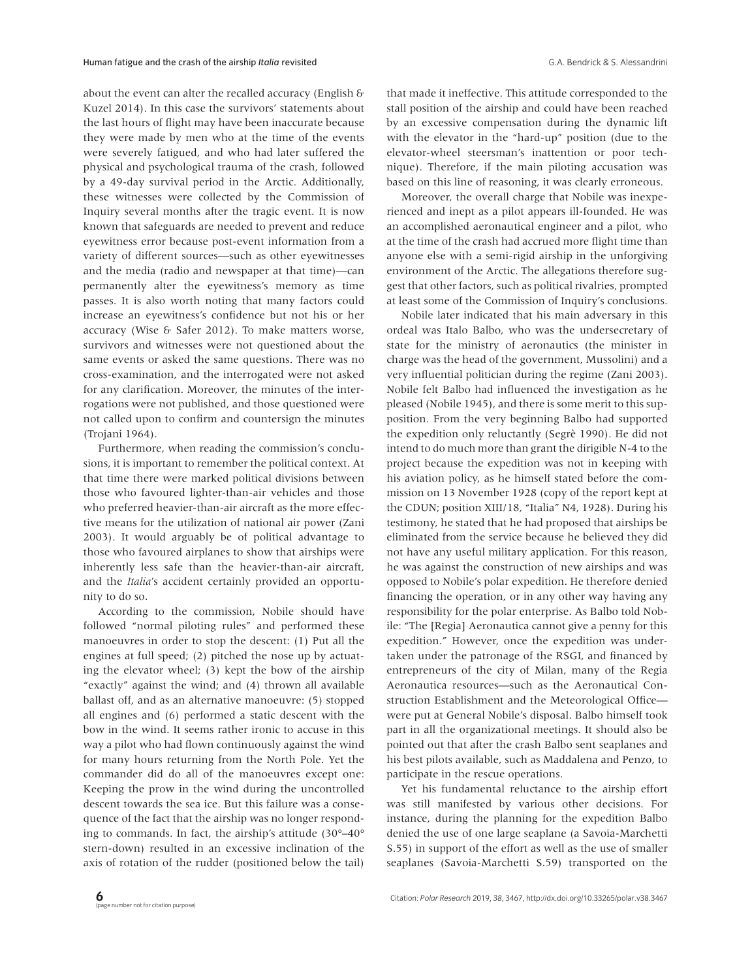about the event can alter the recalled accuracy (English & Kuzel 2014). In this case the survivors' statements about the last hours of flight may have been inaccurate because they were made by men who at the time of the events were severely fatigued, and who had later suffered the physical and psychological trauma of the crash, followed by a 49-day survival period in the Arctic. Additionally, these witnesses were collected by the Commission of Inquiry several months after the tragic event. It is now known that safeguards are needed to prevent and reduce eyewitness error because post-event information from a variety of different sources—such as other eyewitnesses and the media (radio and newspaper at that time)—can permanently alter the eyewitness's memory as time passes. It is also worth noting that many factors could increase an eyewitness's confidence but not his or her accuracy (Wise & Safer 2012). To make matters worse, survivors and witnesses were not questioned about the same events or asked the same questions. There was no cross-examination, and the interrogated were not asked for any clarification. Moreover, the minutes of the interrogations were not published, and those questioned were not called upon to confirm and countersign the minutes (Trojani 1964).

Furthermore, when reading the commission's conclusions, it is important to remember the political context. At that time there were marked political divisions between those who favoured lighter-than-air vehicles and those who preferred heavier-than-air aircraft as the more effective means for the utilization of national air power (Zani 2003). It would arguably be of political advantage to those who favoured airplanes to show that airships were inherently less safe than the heavier-than-air aircraft, and the *Italia*'s accident certainly provided an opportunity to do so.

According to the commission, Nobile should have followed "normal piloting rules" and performed these manoeuvres in order to stop the descent: (1) Put all the engines at full speed; (2) pitched the nose up by actuating the elevator wheel; (3) kept the bow of the airship "exactly" against the wind; and (4) thrown all available ballast off, and as an alternative manoeuvre: (5) stopped all engines and (6) performed a static descent with the bow in the wind. It seems rather ironic to accuse in this way a pilot who had flown continuously against the wind for many hours returning from the North Pole. Yet the commander did do all of the manoeuvres except one: Keeping the prow in the wind during the uncontrolled descent towards the sea ice. But this failure was a consequence of the fact that the airship was no longer responding to commands. In fact, the airship's attitude (30°–40° stern-down) resulted in an excessive inclination of the axis of rotation of the rudder (positioned below the tail) that made it ineffective. This attitude corresponded to the stall position of the airship and could have been reached by an excessive compensation during the dynamic lift with the elevator in the "hard-up" position (due to the elevator-wheel steersman's inattention or poor technique). Therefore, if the main piloting accusation was based on this line of reasoning, it was clearly erroneous.

Moreover, the overall charge that Nobile was inexperienced and inept as a pilot appears ill-founded. He was an accomplished aeronautical engineer and a pilot, who at the time of the crash had accrued more flight time than anyone else with a semi-rigid airship in the unforgiving environment of the Arctic. The allegations therefore suggest that other factors, such as political rivalries, prompted at least some of the Commission of Inquiry's conclusions.

Nobile later indicated that his main adversary in this ordeal was Italo Balbo, who was the undersecretary of state for the ministry of aeronautics (the minister in charge was the head of the government, Mussolini) and a very influential politician during the regime (Zani 2003). Nobile felt Balbo had influenced the investigation as he pleased (Nobile 1945), and there is some merit to this supposition. From the very beginning Balbo had supported the expedition only reluctantly (Segrè 1990). He did not intend to do much more than grant the dirigible N-4 to the project because the expedition was not in keeping with his aviation policy, as he himself stated before the commission on 13 November 1928 (copy of the report kept at the CDUN; position XIII/18, "Italia" N4, 1928). During his testimony, he stated that he had proposed that airships be eliminated from the service because he believed they did not have any useful military application. For this reason, he was against the construction of new airships and was opposed to Nobile's polar expedition. He therefore denied financing the operation, or in any other way having any responsibility for the polar enterprise. As Balbo told Nobile: "The [Regia] Aeronautica cannot give a penny for this expedition." However, once the expedition was undertaken under the patronage of the RSGI, and financed by entrepreneurs of the city of Milan, many of the Regia Aeronautica resources—such as the Aeronautical Construction Establishment and the Meteorological Office were put at General Nobile's disposal. Balbo himself took part in all the organizational meetings. It should also be pointed out that after the crash Balbo sent seaplanes and his best pilots available, such as Maddalena and Penzo, to participate in the rescue operations.

Yet his fundamental reluctance to the airship effort was still manifested by various other decisions. For instance, during the planning for the expedition Balbo denied the use of one large seaplane (a Savoia-Marchetti S.55) in support of the effort as well as the use of smaller seaplanes (Savoia-Marchetti S.59) transported on the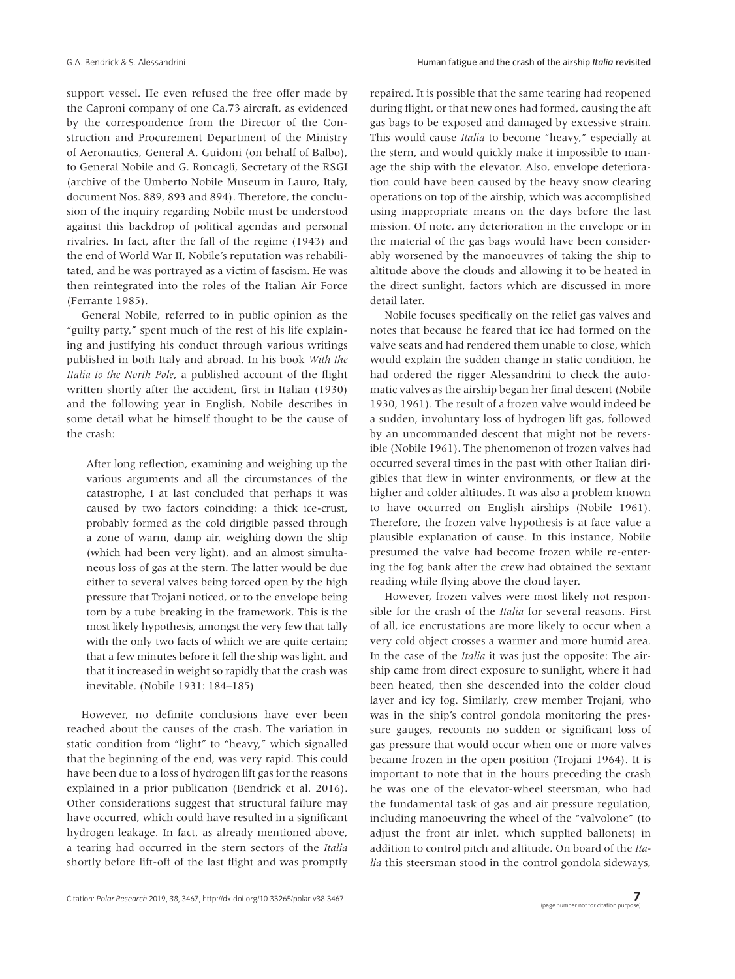support vessel. He even refused the free offer made by the Caproni company of one Ca.73 aircraft, as evidenced by the correspondence from the Director of the Construction and Procurement Department of the Ministry of Aeronautics, General A. Guidoni (on behalf of Balbo), to General Nobile and G. Roncagli, Secretary of the RSGI (archive of the Umberto Nobile Museum in Lauro, Italy, document Nos. 889, 893 and 894). Therefore, the conclusion of the inquiry regarding Nobile must be understood against this backdrop of political agendas and personal rivalries. In fact, after the fall of the regime (1943) and the end of World War II, Nobile's reputation was rehabilitated, and he was portrayed as a victim of fascism. He was then reintegrated into the roles of the Italian Air Force (Ferrante 1985).

General Nobile, referred to in public opinion as the "guilty party," spent much of the rest of his life explaining and justifying his conduct through various writings published in both Italy and abroad. In his book *With the Italia to the North Pole*, a published account of the flight written shortly after the accident, first in Italian (1930) and the following year in English, Nobile describes in some detail what he himself thought to be the cause of the crash:

After long reflection, examining and weighing up the various arguments and all the circumstances of the catastrophe, I at last concluded that perhaps it was caused by two factors coinciding: a thick ice-crust, probably formed as the cold dirigible passed through a zone of warm, damp air, weighing down the ship (which had been very light), and an almost simultaneous loss of gas at the stern. The latter would be due either to several valves being forced open by the high pressure that Trojani noticed, or to the envelope being torn by a tube breaking in the framework. This is the most likely hypothesis, amongst the very few that tally with the only two facts of which we are quite certain; that a few minutes before it fell the ship was light, and that it increased in weight so rapidly that the crash was inevitable. (Nobile 1931: 184–185)

However, no definite conclusions have ever been reached about the causes of the crash. The variation in static condition from "light" to "heavy," which signalled that the beginning of the end, was very rapid. This could have been due to a loss of hydrogen lift gas for the reasons explained in a prior publication (Bendrick et al. 2016). Other considerations suggest that structural failure may have occurred, which could have resulted in a significant hydrogen leakage. In fact, as already mentioned above, a tearing had occurred in the stern sectors of the *Italia* shortly before lift-off of the last flight and was promptly repaired. It is possible that the same tearing had reopened during flight, or that new ones had formed, causing the aft gas bags to be exposed and damaged by excessive strain. This would cause *Italia* to become "heavy," especially at the stern, and would quickly make it impossible to manage the ship with the elevator. Also, envelope deterioration could have been caused by the heavy snow clearing operations on top of the airship, which was accomplished using inappropriate means on the days before the last mission. Of note, any deterioration in the envelope or in the material of the gas bags would have been considerably worsened by the manoeuvres of taking the ship to altitude above the clouds and allowing it to be heated in the direct sunlight, factors which are discussed in more detail later.

Nobile focuses specifically on the relief gas valves and notes that because he feared that ice had formed on the valve seats and had rendered them unable to close, which would explain the sudden change in static condition, he had ordered the rigger Alessandrini to check the automatic valves as the airship began her final descent (Nobile 1930, 1961). The result of a frozen valve would indeed be a sudden, involuntary loss of hydrogen lift gas, followed by an uncommanded descent that might not be reversible (Nobile 1961). The phenomenon of frozen valves had occurred several times in the past with other Italian dirigibles that flew in winter environments, or flew at the higher and colder altitudes. It was also a problem known to have occurred on English airships (Nobile 1961). Therefore, the frozen valve hypothesis is at face value a plausible explanation of cause. In this instance, Nobile presumed the valve had become frozen while re-entering the fog bank after the crew had obtained the sextant reading while flying above the cloud layer.

However, frozen valves were most likely not responsible for the crash of the *Italia* for several reasons. First of all, ice encrustations are more likely to occur when a very cold object crosses a warmer and more humid area. In the case of the *Italia* it was just the opposite: The airship came from direct exposure to sunlight, where it had been heated, then she descended into the colder cloud layer and icy fog. Similarly, crew member Trojani, who was in the ship's control gondola monitoring the pressure gauges, recounts no sudden or significant loss of gas pressure that would occur when one or more valves became frozen in the open position (Trojani 1964). It is important to note that in the hours preceding the crash he was one of the elevator-wheel steersman, who had the fundamental task of gas and air pressure regulation, including manoeuvring the wheel of the "valvolone" (to adjust the front air inlet, which supplied ballonets) in addition to control pitch and altitude. On board of the *Italia* this steersman stood in the control gondola sideways,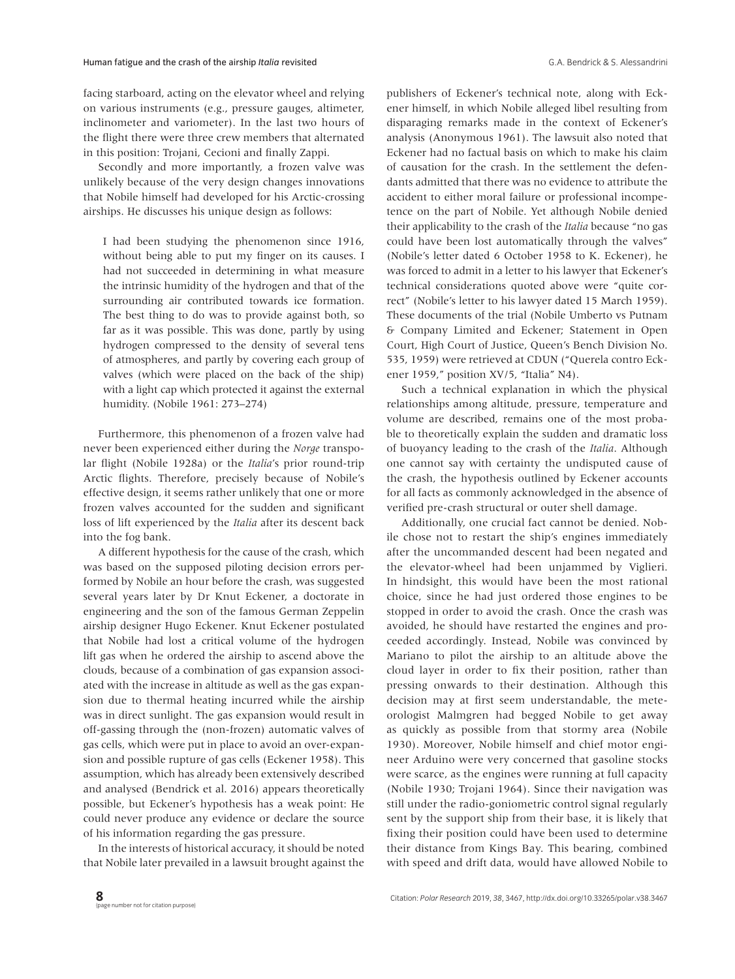facing starboard, acting on the elevator wheel and relying on various instruments (e.g., pressure gauges, altimeter, inclinometer and variometer). In the last two hours of the flight there were three crew members that alternated in this position: Trojani, Cecioni and finally Zappi.

Secondly and more importantly, a frozen valve was unlikely because of the very design changes innovations that Nobile himself had developed for his Arctic-crossing airships. He discusses his unique design as follows:

I had been studying the phenomenon since 1916, without being able to put my finger on its causes. I had not succeeded in determining in what measure the intrinsic humidity of the hydrogen and that of the surrounding air contributed towards ice formation. The best thing to do was to provide against both, so far as it was possible. This was done, partly by using hydrogen compressed to the density of several tens of atmospheres, and partly by covering each group of valves (which were placed on the back of the ship) with a light cap which protected it against the external humidity. (Nobile 1961: 273–274)

Furthermore, this phenomenon of a frozen valve had never been experienced either during the *Norge* transpolar flight (Nobile 1928a) or the *Italia*'s prior round-trip Arctic flights. Therefore, precisely because of Nobile's effective design, it seems rather unlikely that one or more frozen valves accounted for the sudden and significant loss of lift experienced by the *Italia* after its descent back into the fog bank.

A different hypothesis for the cause of the crash, which was based on the supposed piloting decision errors performed by Nobile an hour before the crash, was suggested several years later by Dr Knut Eckener, a doctorate in engineering and the son of the famous German Zeppelin airship designer Hugo Eckener. Knut Eckener postulated that Nobile had lost a critical volume of the hydrogen lift gas when he ordered the airship to ascend above the clouds, because of a combination of gas expansion associated with the increase in altitude as well as the gas expansion due to thermal heating incurred while the airship was in direct sunlight. The gas expansion would result in off-gassing through the (non-frozen) automatic valves of gas cells, which were put in place to avoid an over-expansion and possible rupture of gas cells (Eckener 1958). This assumption, which has already been extensively described and analysed (Bendrick et al. 2016) appears theoretically possible, but Eckener's hypothesis has a weak point: He could never produce any evidence or declare the source of his information regarding the gas pressure.

In the interests of historical accuracy, it should be noted that Nobile later prevailed in a lawsuit brought against the publishers of Eckener's technical note, along with Eckener himself, in which Nobile alleged libel resulting from disparaging remarks made in the context of Eckener's analysis (Anonymous 1961). The lawsuit also noted that Eckener had no factual basis on which to make his claim of causation for the crash. In the settlement the defendants admitted that there was no evidence to attribute the accident to either moral failure or professional incompetence on the part of Nobile. Yet although Nobile denied their applicability to the crash of the *Italia* because "no gas could have been lost automatically through the valves" (Nobile's letter dated 6 October 1958 to K. Eckener), he was forced to admit in a letter to his lawyer that Eckener's technical considerations quoted above were "quite correct" (Nobile's letter to his lawyer dated 15 March 1959). These documents of the trial (Nobile Umberto vs Putnam & Company Limited and Eckener; Statement in Open Court, High Court of Justice, Queen's Bench Division No. 535, 1959) were retrieved at CDUN ("Querela contro Eckener 1959," position XV/5, "Italia" N4).

Such a technical explanation in which the physical relationships among altitude, pressure, temperature and volume are described, remains one of the most probable to theoretically explain the sudden and dramatic loss of buoyancy leading to the crash of the *Italia*. Although one cannot say with certainty the undisputed cause of the crash, the hypothesis outlined by Eckener accounts for all facts as commonly acknowledged in the absence of verified pre-crash structural or outer shell damage.

Additionally, one crucial fact cannot be denied. Nobile chose not to restart the ship's engines immediately after the uncommanded descent had been negated and the elevator-wheel had been unjammed by Viglieri. In hindsight, this would have been the most rational choice, since he had just ordered those engines to be stopped in order to avoid the crash. Once the crash was avoided, he should have restarted the engines and proceeded accordingly. Instead, Nobile was convinced by Mariano to pilot the airship to an altitude above the cloud layer in order to fix their position, rather than pressing onwards to their destination. Although this decision may at first seem understandable, the meteorologist Malmgren had begged Nobile to get away as quickly as possible from that stormy area (Nobile 1930). Moreover, Nobile himself and chief motor engineer Arduino were very concerned that gasoline stocks were scarce, as the engines were running at full capacity (Nobile 1930; Trojani 1964). Since their navigation was still under the radio-goniometric control signal regularly sent by the support ship from their base, it is likely that fixing their position could have been used to determine their distance from Kings Bay. This bearing, combined with speed and drift data, would have allowed Nobile to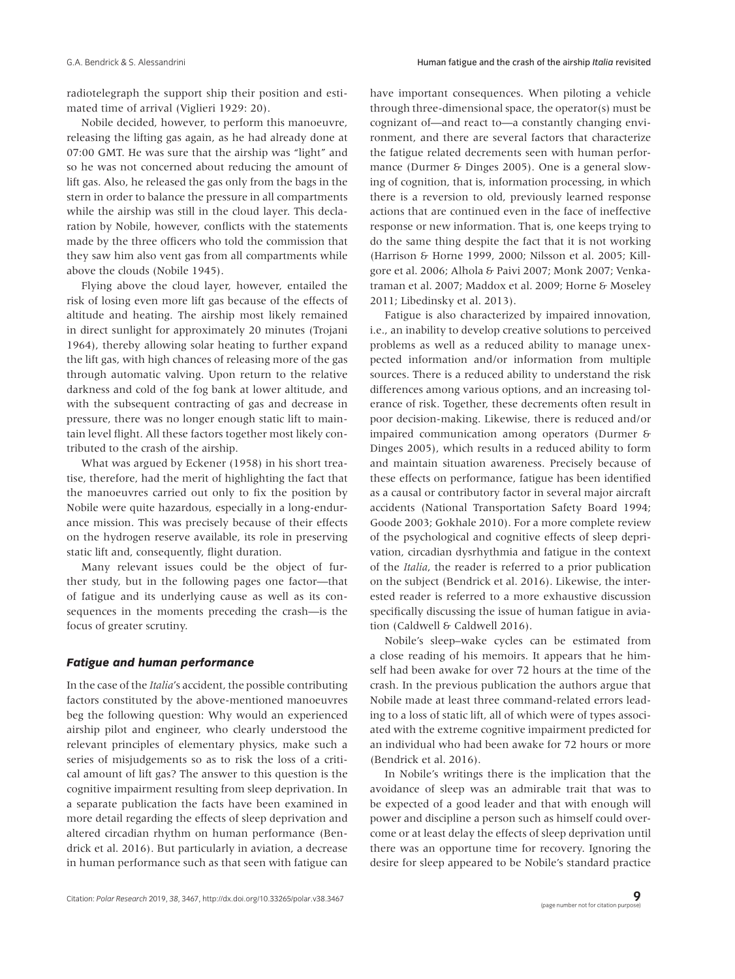radiotelegraph the support ship their position and estimated time of arrival (Viglieri 1929: 20).

Nobile decided, however, to perform this manoeuvre, releasing the lifting gas again, as he had already done at 07:00 GMT. He was sure that the airship was "light" and so he was not concerned about reducing the amount of lift gas. Also, he released the gas only from the bags in the stern in order to balance the pressure in all compartments while the airship was still in the cloud layer. This declaration by Nobile, however, conflicts with the statements made by the three officers who told the commission that they saw him also vent gas from all compartments while above the clouds (Nobile 1945).

Flying above the cloud layer, however, entailed the risk of losing even more lift gas because of the effects of altitude and heating. The airship most likely remained in direct sunlight for approximately 20 minutes (Trojani 1964), thereby allowing solar heating to further expand the lift gas, with high chances of releasing more of the gas through automatic valving. Upon return to the relative darkness and cold of the fog bank at lower altitude, and with the subsequent contracting of gas and decrease in pressure, there was no longer enough static lift to maintain level flight. All these factors together most likely contributed to the crash of the airship.

What was argued by Eckener (1958) in his short treatise, therefore, had the merit of highlighting the fact that the manoeuvres carried out only to fix the position by Nobile were quite hazardous, especially in a long-endurance mission. This was precisely because of their effects on the hydrogen reserve available, its role in preserving static lift and, consequently, flight duration.

Many relevant issues could be the object of further study, but in the following pages one factor—that of fatigue and its underlying cause as well as its consequences in the moments preceding the crash—is the focus of greater scrutiny.

#### *Fatigue and human performance*

In the case of the *Italia*'s accident, the possible contributing factors constituted by the above-mentioned manoeuvres beg the following question: Why would an experienced airship pilot and engineer, who clearly understood the relevant principles of elementary physics, make such a series of misjudgements so as to risk the loss of a critical amount of lift gas? The answer to this question is the cognitive impairment resulting from sleep deprivation. In a separate publication the facts have been examined in more detail regarding the effects of sleep deprivation and altered circadian rhythm on human performance (Bendrick et al. 2016). But particularly in aviation, a decrease in human performance such as that seen with fatigue can have important consequences. When piloting a vehicle through three-dimensional space, the operator(s) must be cognizant of—and react to—a constantly changing environment, and there are several factors that characterize the fatigue related decrements seen with human performance (Durmer & Dinges 2005). One is a general slowing of cognition, that is, information processing, in which there is a reversion to old, previously learned response actions that are continued even in the face of ineffective response or new information. That is, one keeps trying to do the same thing despite the fact that it is not working (Harrison & Horne 1999, 2000; Nilsson et al. 2005; Killgore et al. 2006; Alhola & Paivi 2007; Monk 2007; Venkatraman et al. 2007; Maddox et al. 2009; Horne & Moseley 2011; Libedinsky et al. 2013).

Fatigue is also characterized by impaired innovation, i.e., an inability to develop creative solutions to perceived problems as well as a reduced ability to manage unexpected information and/or information from multiple sources. There is a reduced ability to understand the risk differences among various options, and an increasing tolerance of risk. Together, these decrements often result in poor decision-making. Likewise, there is reduced and/or impaired communication among operators (Durmer & Dinges 2005), which results in a reduced ability to form and maintain situation awareness. Precisely because of these effects on performance, fatigue has been identified as a causal or contributory factor in several major aircraft accidents (National Transportation Safety Board 1994; Goode 2003; Gokhale 2010). For a more complete review of the psychological and cognitive effects of sleep deprivation, circadian dysrhythmia and fatigue in the context of the *Italia*, the reader is referred to a prior publication on the subject (Bendrick et al. 2016). Likewise, the interested reader is referred to a more exhaustive discussion specifically discussing the issue of human fatigue in aviation (Caldwell & Caldwell 2016).

Nobile's sleep–wake cycles can be estimated from a close reading of his memoirs. It appears that he himself had been awake for over 72 hours at the time of the crash. In the previous publication the authors argue that Nobile made at least three command-related errors leading to a loss of static lift, all of which were of types associated with the extreme cognitive impairment predicted for an individual who had been awake for 72 hours or more (Bendrick et al. 2016).

In Nobile's writings there is the implication that the avoidance of sleep was an admirable trait that was to be expected of a good leader and that with enough will power and discipline a person such as himself could overcome or at least delay the effects of sleep deprivation until there was an opportune time for recovery. Ignoring the desire for sleep appeared to be Nobile's standard practice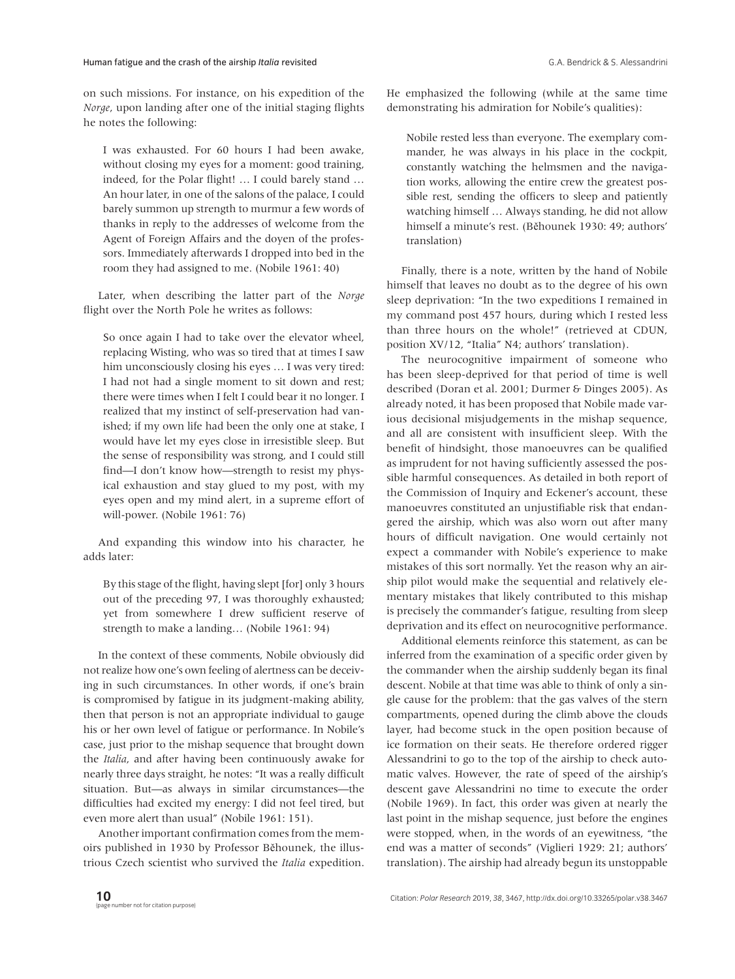on such missions. For instance, on his expedition of the *Norge*, upon landing after one of the initial staging flights he notes the following:

I was exhausted. For 60 hours I had been awake, without closing my eyes for a moment: good training, indeed, for the Polar flight! … I could barely stand … An hour later, in one of the salons of the palace, I could barely summon up strength to murmur a few words of thanks in reply to the addresses of welcome from the Agent of Foreign Affairs and the doyen of the professors. Immediately afterwards I dropped into bed in the room they had assigned to me. (Nobile 1961: 40)

Later, when describing the latter part of the *Norge* flight over the North Pole he writes as follows:

So once again I had to take over the elevator wheel, replacing Wisting, who was so tired that at times I saw him unconsciously closing his eyes … I was very tired: I had not had a single moment to sit down and rest; there were times when I felt I could bear it no longer. I realized that my instinct of self-preservation had vanished; if my own life had been the only one at stake, I would have let my eyes close in irresistible sleep. But the sense of responsibility was strong, and I could still find—I don't know how—strength to resist my physical exhaustion and stay glued to my post, with my eyes open and my mind alert, in a supreme effort of will-power. (Nobile 1961: 76)

And expanding this window into his character, he adds later:

By this stage of the flight, having slept [for] only 3 hours out of the preceding 97, I was thoroughly exhausted; yet from somewhere I drew sufficient reserve of strength to make a landing… (Nobile 1961: 94)

In the context of these comments, Nobile obviously did not realize how one's own feeling of alertness can be deceiving in such circumstances. In other words, if one's brain is compromised by fatigue in its judgment-making ability, then that person is not an appropriate individual to gauge his or her own level of fatigue or performance. In Nobile's case, just prior to the mishap sequence that brought down the *Italia*, and after having been continuously awake for nearly three days straight, he notes: "It was a really difficult situation. But—as always in similar circumstances—the difficulties had excited my energy: I did not feel tired, but even more alert than usual" (Nobile 1961: 151).

Another important confirmation comes from the memoirs published in 1930 by Professor Běhounek, the illustrious Czech scientist who survived the *Italia* expedition. He emphasized the following (while at the same time demonstrating his admiration for Nobile's qualities):

Nobile rested less than everyone. The exemplary commander, he was always in his place in the cockpit, constantly watching the helmsmen and the navigation works, allowing the entire crew the greatest possible rest, sending the officers to sleep and patiently watching himself … Always standing, he did not allow himself a minute's rest. (Běhounek 1930: 49; authors' translation)

Finally, there is a note, written by the hand of Nobile himself that leaves no doubt as to the degree of his own sleep deprivation: "In the two expeditions I remained in my command post 457 hours, during which I rested less than three hours on the whole!" (retrieved at CDUN, position XV/12, "Italia" N4; authors' translation).

The neurocognitive impairment of someone who has been sleep-deprived for that period of time is well described (Doran et al. 2001; Durmer & Dinges 2005). As already noted, it has been proposed that Nobile made various decisional misjudgements in the mishap sequence, and all are consistent with insufficient sleep. With the benefit of hindsight, those manoeuvres can be qualified as imprudent for not having sufficiently assessed the possible harmful consequences. As detailed in both report of the Commission of Inquiry and Eckener's account, these manoeuvres constituted an unjustifiable risk that endangered the airship, which was also worn out after many hours of difficult navigation. One would certainly not expect a commander with Nobile's experience to make mistakes of this sort normally. Yet the reason why an airship pilot would make the sequential and relatively elementary mistakes that likely contributed to this mishap is precisely the commander's fatigue, resulting from sleep deprivation and its effect on neurocognitive performance.

Additional elements reinforce this statement, as can be inferred from the examination of a specific order given by the commander when the airship suddenly began its final descent. Nobile at that time was able to think of only a single cause for the problem: that the gas valves of the stern compartments, opened during the climb above the clouds layer, had become stuck in the open position because of ice formation on their seats. He therefore ordered rigger Alessandrini to go to the top of the airship to check automatic valves. However, the rate of speed of the airship's descent gave Alessandrini no time to execute the order (Nobile 1969). In fact, this order was given at nearly the last point in the mishap sequence, just before the engines were stopped, when, in the words of an eyewitness, "the end was a matter of seconds" (Viglieri 1929: 21; authors' translation). The airship had already begun its unstoppable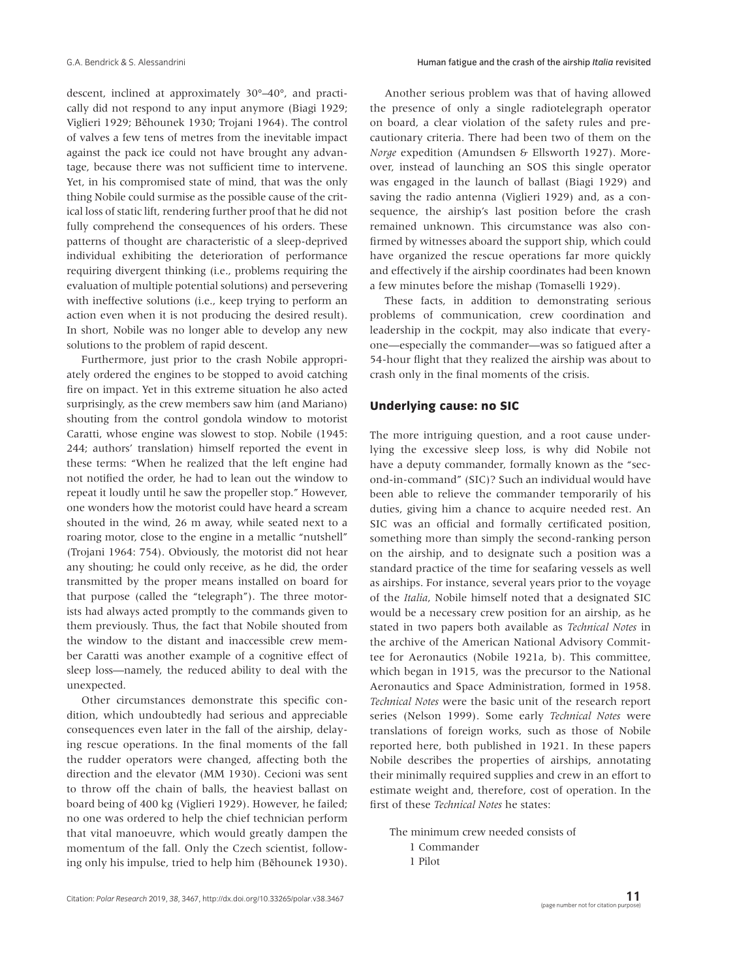descent, inclined at approximately 30°–40°, and practically did not respond to any input anymore (Biagi 1929; Viglieri 1929; Běhounek 1930; Trojani 1964). The control of valves a few tens of metres from the inevitable impact against the pack ice could not have brought any advantage, because there was not sufficient time to intervene. Yet, in his compromised state of mind, that was the only thing Nobile could surmise as the possible cause of the critical loss of static lift, rendering further proof that he did not fully comprehend the consequences of his orders. These patterns of thought are characteristic of a sleep-deprived individual exhibiting the deterioration of performance requiring divergent thinking (i.e., problems requiring the evaluation of multiple potential solutions) and persevering with ineffective solutions (i.e., keep trying to perform an action even when it is not producing the desired result). In short, Nobile was no longer able to develop any new solutions to the problem of rapid descent.

Furthermore, just prior to the crash Nobile appropriately ordered the engines to be stopped to avoid catching fire on impact. Yet in this extreme situation he also acted surprisingly, as the crew members saw him (and Mariano) shouting from the control gondola window to motorist Caratti, whose engine was slowest to stop. Nobile (1945: 244; authors' translation) himself reported the event in these terms: "When he realized that the left engine had not notified the order, he had to lean out the window to repeat it loudly until he saw the propeller stop." However, one wonders how the motorist could have heard a scream shouted in the wind, 26 m away, while seated next to a roaring motor, close to the engine in a metallic "nutshell" (Trojani 1964: 754). Obviously, the motorist did not hear any shouting; he could only receive, as he did, the order transmitted by the proper means installed on board for that purpose (called the "telegraph"). The three motorists had always acted promptly to the commands given to them previously. Thus, the fact that Nobile shouted from the window to the distant and inaccessible crew member Caratti was another example of a cognitive effect of sleep loss—namely, the reduced ability to deal with the unexpected.

Other circumstances demonstrate this specific condition, which undoubtedly had serious and appreciable consequences even later in the fall of the airship, delaying rescue operations. In the final moments of the fall the rudder operators were changed, affecting both the direction and the elevator (MM 1930). Cecioni was sent to throw off the chain of balls, the heaviest ballast on board being of 400 kg (Viglieri 1929). However, he failed; no one was ordered to help the chief technician perform that vital manoeuvre, which would greatly dampen the momentum of the fall. Only the Czech scientist, following only his impulse, tried to help him (Běhounek 1930).

Another serious problem was that of having allowed the presence of only a single radiotelegraph operator on board, a clear violation of the safety rules and precautionary criteria. There had been two of them on the *Norge* expedition (Amundsen & Ellsworth 1927). Moreover, instead of launching an SOS this single operator was engaged in the launch of ballast (Biagi 1929) and saving the radio antenna (Viglieri 1929) and, as a consequence, the airship's last position before the crash remained unknown. This circumstance was also confirmed by witnesses aboard the support ship, which could have organized the rescue operations far more quickly and effectively if the airship coordinates had been known a few minutes before the mishap (Tomaselli 1929).

These facts, in addition to demonstrating serious problems of communication, crew coordination and leadership in the cockpit, may also indicate that everyone—especially the commander—was so fatigued after a 54-hour flight that they realized the airship was about to crash only in the final moments of the crisis.

## **Underlying cause: no SIC**

The more intriguing question, and a root cause underlying the excessive sleep loss, is why did Nobile not have a deputy commander, formally known as the "second-in-command" (SIC)? Such an individual would have been able to relieve the commander temporarily of his duties, giving him a chance to acquire needed rest. An SIC was an official and formally certificated position, something more than simply the second-ranking person on the airship, and to designate such a position was a standard practice of the time for seafaring vessels as well as airships. For instance, several years prior to the voyage of the *Italia*, Nobile himself noted that a designated SIC would be a necessary crew position for an airship, as he stated in two papers both available as *Technical Notes* in the archive of the American National Advisory Committee for Aeronautics (Nobile 1921a, b). This committee, which began in 1915, was the precursor to the National Aeronautics and Space Administration, formed in 1958. *Technical Notes* were the basic unit of the research report series (Nelson 1999). Some early *Technical Notes* were translations of foreign works, such as those of Nobile reported here, both published in 1921. In these papers Nobile describes the properties of airships, annotating their minimally required supplies and crew in an effort to estimate weight and, therefore, cost of operation. In the first of these *Technical Notes* he states:

The minimum crew needed consists of 1 Commander 1 Pilot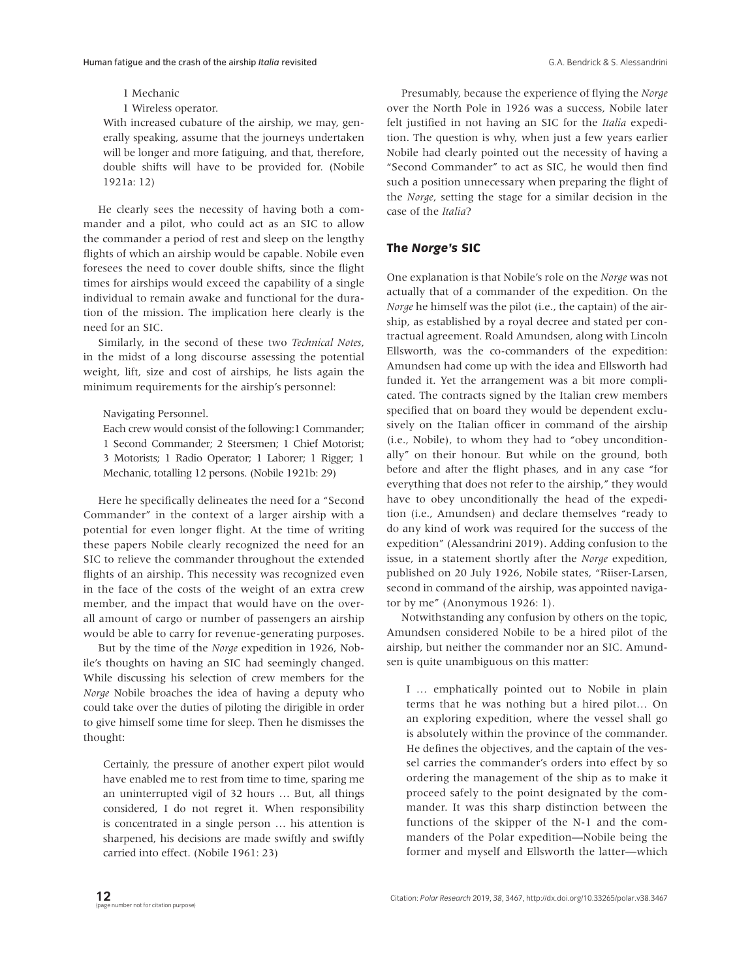#### 1 Mechanic

#### 1 Wireless operator.

With increased cubature of the airship, we may, generally speaking, assume that the journeys undertaken will be longer and more fatiguing, and that, therefore, double shifts will have to be provided for. (Nobile 1921a: 12)

He clearly sees the necessity of having both a commander and a pilot, who could act as an SIC to allow the commander a period of rest and sleep on the lengthy flights of which an airship would be capable. Nobile even foresees the need to cover double shifts, since the flight times for airships would exceed the capability of a single individual to remain awake and functional for the duration of the mission. The implication here clearly is the need for an SIC.

Similarly, in the second of these two *Technical Notes*, in the midst of a long discourse assessing the potential weight, lift, size and cost of airships, he lists again the minimum requirements for the airship's personnel:

#### Navigating Personnel.

Each crew would consist of the following:1 Commander; 1 Second Commander; 2 Steersmen; 1 Chief Motorist; 3 Motorists; 1 Radio Operator; 1 Laborer; 1 Rigger; 1 Mechanic, totalling 12 persons. (Nobile 1921b: 29)

Here he specifically delineates the need for a "Second Commander" in the context of a larger airship with a potential for even longer flight. At the time of writing these papers Nobile clearly recognized the need for an SIC to relieve the commander throughout the extended flights of an airship. This necessity was recognized even in the face of the costs of the weight of an extra crew member, and the impact that would have on the overall amount of cargo or number of passengers an airship would be able to carry for revenue-generating purposes.

But by the time of the *Norge* expedition in 1926, Nobile's thoughts on having an SIC had seemingly changed. While discussing his selection of crew members for the *Norge* Nobile broaches the idea of having a deputy who could take over the duties of piloting the dirigible in order to give himself some time for sleep. Then he dismisses the thought:

Certainly, the pressure of another expert pilot would have enabled me to rest from time to time, sparing me an uninterrupted vigil of 32 hours … But, all things considered, I do not regret it. When responsibility is concentrated in a single person … his attention is sharpened, his decisions are made swiftly and swiftly carried into effect. (Nobile 1961: 23)

Presumably, because the experience of flying the *Norge* over the North Pole in 1926 was a success, Nobile later felt justified in not having an SIC for the *Italia* expedition. The question is why, when just a few years earlier Nobile had clearly pointed out the necessity of having a "Second Commander" to act as SIC, he would then find such a position unnecessary when preparing the flight of the *Norge*, setting the stage for a similar decision in the case of the *Italia*?

## **The** *Norge's* **SIC**

One explanation is that Nobile's role on the *Norge* was not actually that of a commander of the expedition. On the *Norge* he himself was the pilot (i.e., the captain) of the airship, as established by a royal decree and stated per contractual agreement. Roald Amundsen, along with Lincoln Ellsworth, was the co-commanders of the expedition: Amundsen had come up with the idea and Ellsworth had funded it. Yet the arrangement was a bit more complicated. The contracts signed by the Italian crew members specified that on board they would be dependent exclusively on the Italian officer in command of the airship (i.e., Nobile), to whom they had to "obey unconditionally" on their honour. But while on the ground, both before and after the flight phases, and in any case "for everything that does not refer to the airship," they would have to obey unconditionally the head of the expedition (i.e., Amundsen) and declare themselves "ready to do any kind of work was required for the success of the expedition" (Alessandrini 2019). Adding confusion to the issue, in a statement shortly after the *Norge* expedition, published on 20 July 1926, Nobile states, "Riiser-Larsen, second in command of the airship, was appointed navigator by me" (Anonymous 1926: 1).

Notwithstanding any confusion by others on the topic, Amundsen considered Nobile to be a hired pilot of the airship, but neither the commander nor an SIC. Amundsen is quite unambiguous on this matter:

I … emphatically pointed out to Nobile in plain terms that he was nothing but a hired pilot… On an exploring expedition, where the vessel shall go is absolutely within the province of the commander. He defines the objectives, and the captain of the vessel carries the commander's orders into effect by so ordering the management of the ship as to make it proceed safely to the point designated by the commander. It was this sharp distinction between the functions of the skipper of the N-1 and the commanders of the Polar expedition—Nobile being the former and myself and Ellsworth the latter—which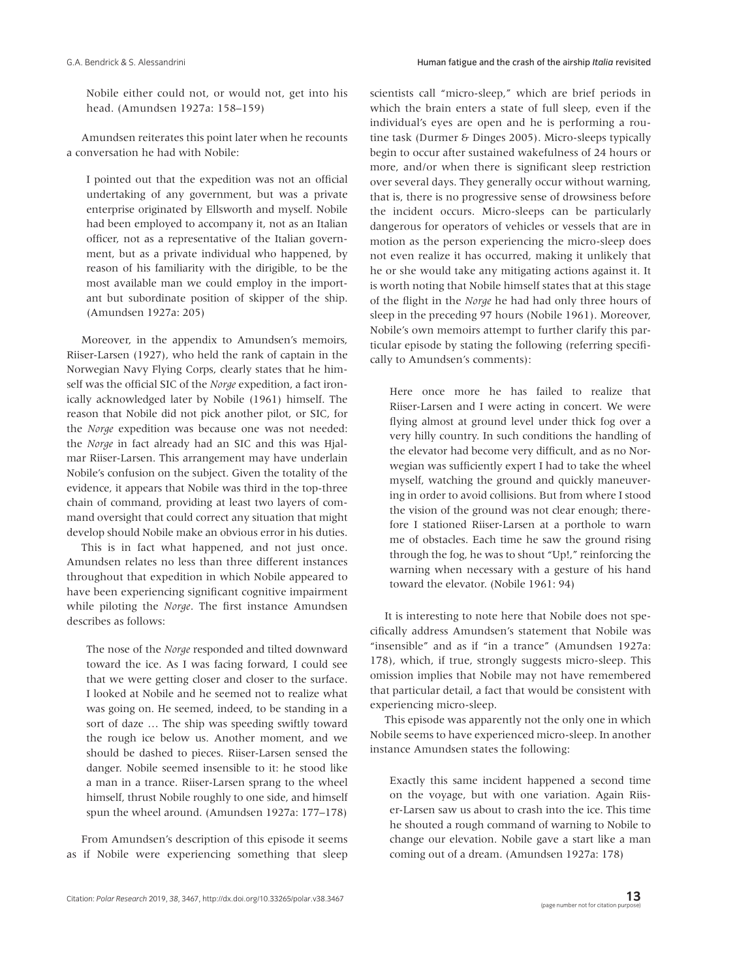Nobile either could not, or would not, get into his head. (Amundsen 1927a: 158–159)

Amundsen reiterates this point later when he recounts a conversation he had with Nobile:

I pointed out that the expedition was not an official undertaking of any government, but was a private enterprise originated by Ellsworth and myself. Nobile had been employed to accompany it, not as an Italian officer, not as a representative of the Italian government, but as a private individual who happened, by reason of his familiarity with the dirigible, to be the most available man we could employ in the important but subordinate position of skipper of the ship. (Amundsen 1927a: 205)

Moreover, in the appendix to Amundsen's memoirs, Riiser-Larsen (1927), who held the rank of captain in the Norwegian Navy Flying Corps, clearly states that he himself was the official SIC of the *Norge* expedition, a fact ironically acknowledged later by Nobile (1961) himself. The reason that Nobile did not pick another pilot, or SIC, for the *Norge* expedition was because one was not needed: the *Norge* in fact already had an SIC and this was Hjalmar Riiser-Larsen. This arrangement may have underlain Nobile's confusion on the subject. Given the totality of the evidence, it appears that Nobile was third in the top-three chain of command, providing at least two layers of command oversight that could correct any situation that might develop should Nobile make an obvious error in his duties.

This is in fact what happened, and not just once. Amundsen relates no less than three different instances throughout that expedition in which Nobile appeared to have been experiencing significant cognitive impairment while piloting the *Norge*. The first instance Amundsen describes as follows:

The nose of the *Norge* responded and tilted downward toward the ice. As I was facing forward, I could see that we were getting closer and closer to the surface. I looked at Nobile and he seemed not to realize what was going on. He seemed, indeed, to be standing in a sort of daze … The ship was speeding swiftly toward the rough ice below us. Another moment, and we should be dashed to pieces. Riiser-Larsen sensed the danger. Nobile seemed insensible to it: he stood like a man in a trance. Riiser-Larsen sprang to the wheel himself, thrust Nobile roughly to one side, and himself spun the wheel around. (Amundsen 1927a: 177–178)

From Amundsen's description of this episode it seems as if Nobile were experiencing something that sleep scientists call "micro-sleep," which are brief periods in which the brain enters a state of full sleep, even if the individual's eyes are open and he is performing a routine task (Durmer & Dinges 2005). Micro-sleeps typically begin to occur after sustained wakefulness of 24 hours or more, and/or when there is significant sleep restriction over several days. They generally occur without warning, that is, there is no progressive sense of drowsiness before the incident occurs. Micro-sleeps can be particularly dangerous for operators of vehicles or vessels that are in motion as the person experiencing the micro-sleep does not even realize it has occurred, making it unlikely that he or she would take any mitigating actions against it. It is worth noting that Nobile himself states that at this stage of the flight in the *Norge* he had had only three hours of sleep in the preceding 97 hours (Nobile 1961). Moreover, Nobile's own memoirs attempt to further clarify this particular episode by stating the following (referring specifically to Amundsen's comments):

Here once more he has failed to realize that Riiser-Larsen and I were acting in concert. We were flying almost at ground level under thick fog over a very hilly country. In such conditions the handling of the elevator had become very difficult, and as no Norwegian was sufficiently expert I had to take the wheel myself, watching the ground and quickly maneuvering in order to avoid collisions. But from where I stood the vision of the ground was not clear enough; therefore I stationed Riiser-Larsen at a porthole to warn me of obstacles. Each time he saw the ground rising through the fog, he was to shout "Up!," reinforcing the warning when necessary with a gesture of his hand toward the elevator. (Nobile 1961: 94)

It is interesting to note here that Nobile does not specifically address Amundsen's statement that Nobile was "insensible" and as if "in a trance" (Amundsen 1927a: 178), which, if true, strongly suggests micro-sleep. This omission implies that Nobile may not have remembered that particular detail, a fact that would be consistent with experiencing micro-sleep.

This episode was apparently not the only one in which Nobile seems to have experienced micro-sleep. In another instance Amundsen states the following:

Exactly this same incident happened a second time on the voyage, but with one variation. Again Riiser-Larsen saw us about to crash into the ice. This time he shouted a rough command of warning to Nobile to change our elevation. Nobile gave a start like a man coming out of a dream. (Amundsen 1927a: 178)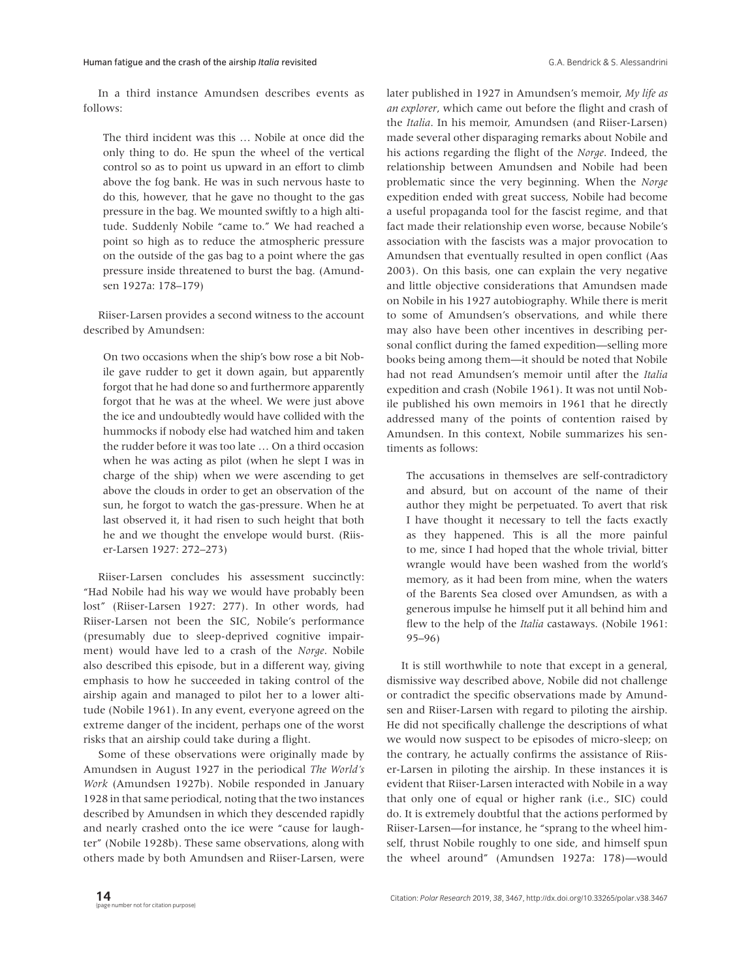In a third instance Amundsen describes events as follows:

The third incident was this … Nobile at once did the only thing to do. He spun the wheel of the vertical control so as to point us upward in an effort to climb above the fog bank. He was in such nervous haste to do this, however, that he gave no thought to the gas pressure in the bag. We mounted swiftly to a high altitude. Suddenly Nobile "came to." We had reached a point so high as to reduce the atmospheric pressure on the outside of the gas bag to a point where the gas pressure inside threatened to burst the bag. (Amundsen 1927a: 178–179)

Riiser-Larsen provides a second witness to the account described by Amundsen:

On two occasions when the ship's bow rose a bit Nobile gave rudder to get it down again, but apparently forgot that he had done so and furthermore apparently forgot that he was at the wheel. We were just above the ice and undoubtedly would have collided with the hummocks if nobody else had watched him and taken the rudder before it was too late … On a third occasion when he was acting as pilot (when he slept I was in charge of the ship) when we were ascending to get above the clouds in order to get an observation of the sun, he forgot to watch the gas-pressure. When he at last observed it, it had risen to such height that both he and we thought the envelope would burst. (Riiser-Larsen 1927: 272–273)

Riiser-Larsen concludes his assessment succinctly: "Had Nobile had his way we would have probably been lost" (Riiser-Larsen 1927: 277). In other words, had Riiser-Larsen not been the SIC, Nobile's performance (presumably due to sleep-deprived cognitive impairment) would have led to a crash of the *Norge*. Nobile also described this episode, but in a different way, giving emphasis to how he succeeded in taking control of the airship again and managed to pilot her to a lower altitude (Nobile 1961). In any event, everyone agreed on the extreme danger of the incident, perhaps one of the worst risks that an airship could take during a flight.

Some of these observations were originally made by Amundsen in August 1927 in the periodical *The World's Work* (Amundsen 1927b). Nobile responded in January 1928 in that same periodical, noting that the two instances described by Amundsen in which they descended rapidly and nearly crashed onto the ice were "cause for laughter" (Nobile 1928b). These same observations, along with others made by both Amundsen and Riiser-Larsen, were

later published in 1927 in Amundsen's memoir, *My life as an explorer*, which came out before the flight and crash of the *Italia*. In his memoir, Amundsen (and Riiser-Larsen) made several other disparaging remarks about Nobile and his actions regarding the flight of the *Norge*. Indeed, the relationship between Amundsen and Nobile had been problematic since the very beginning. When the *Norge* expedition ended with great success, Nobile had become a useful propaganda tool for the fascist regime, and that fact made their relationship even worse, because Nobile's association with the fascists was a major provocation to Amundsen that eventually resulted in open conflict (Aas 2003). On this basis, one can explain the very negative and little objective considerations that Amundsen made on Nobile in his 1927 autobiography. While there is merit to some of Amundsen's observations, and while there may also have been other incentives in describing personal conflict during the famed expedition—selling more books being among them—it should be noted that Nobile had not read Amundsen's memoir until after the *Italia* expedition and crash (Nobile 1961). It was not until Nobile published his own memoirs in 1961 that he directly addressed many of the points of contention raised by Amundsen. In this context, Nobile summarizes his sentiments as follows:

The accusations in themselves are self-contradictory and absurd, but on account of the name of their author they might be perpetuated. To avert that risk I have thought it necessary to tell the facts exactly as they happened. This is all the more painful to me, since I had hoped that the whole trivial, bitter wrangle would have been washed from the world's memory, as it had been from mine, when the waters of the Barents Sea closed over Amundsen, as with a generous impulse he himself put it all behind him and flew to the help of the *Italia* castaways. (Nobile 1961: 95–96)

It is still worthwhile to note that except in a general, dismissive way described above, Nobile did not challenge or contradict the specific observations made by Amundsen and Riiser-Larsen with regard to piloting the airship. He did not specifically challenge the descriptions of what we would now suspect to be episodes of micro-sleep; on the contrary, he actually confirms the assistance of Riiser-Larsen in piloting the airship. In these instances it is evident that Riiser-Larsen interacted with Nobile in a way that only one of equal or higher rank (i.e., SIC) could do. It is extremely doubtful that the actions performed by Riiser-Larsen—for instance, he "sprang to the wheel himself, thrust Nobile roughly to one side, and himself spun the wheel around" (Amundsen 1927a: 178)—would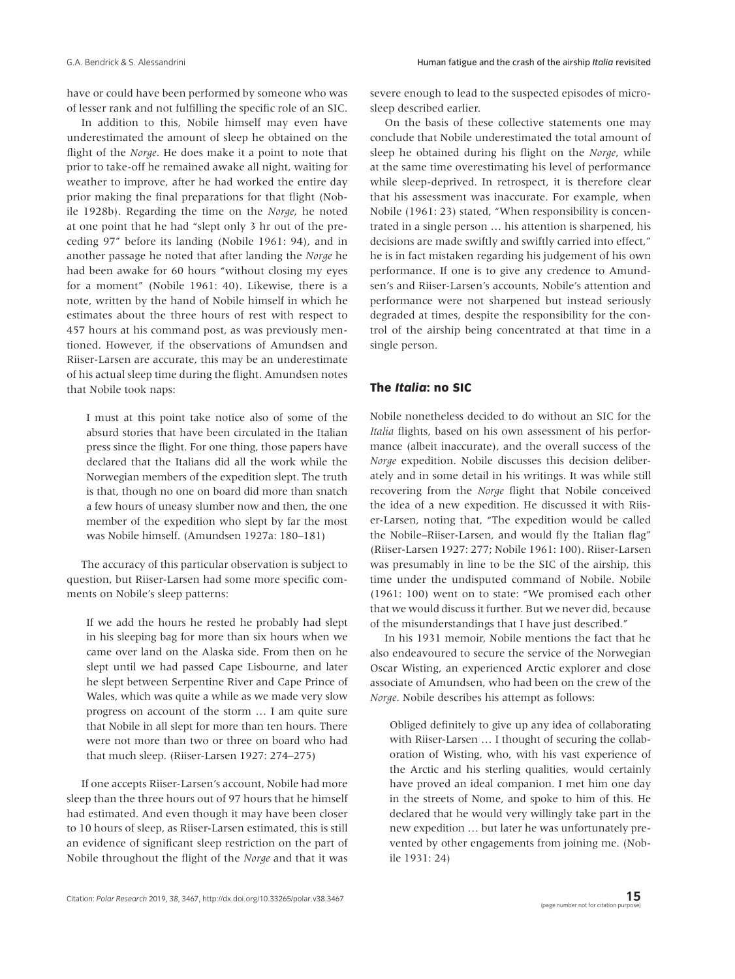have or could have been performed by someone who was of lesser rank and not fulfilling the specific role of an SIC.

In addition to this, Nobile himself may even have underestimated the amount of sleep he obtained on the flight of the *Norge*. He does make it a point to note that prior to take-off he remained awake all night, waiting for weather to improve, after he had worked the entire day prior making the final preparations for that flight (Nobile 1928b). Regarding the time on the *Norge*, he noted at one point that he had "slept only 3 hr out of the preceding 97" before its landing (Nobile 1961: 94), and in another passage he noted that after landing the *Norge* he had been awake for 60 hours "without closing my eyes for a moment" (Nobile 1961: 40). Likewise, there is a note, written by the hand of Nobile himself in which he estimates about the three hours of rest with respect to 457 hours at his command post, as was previously mentioned. However, if the observations of Amundsen and Riiser-Larsen are accurate, this may be an underestimate of his actual sleep time during the flight. Amundsen notes that Nobile took naps:

I must at this point take notice also of some of the absurd stories that have been circulated in the Italian press since the flight. For one thing, those papers have declared that the Italians did all the work while the Norwegian members of the expedition slept. The truth is that, though no one on board did more than snatch a few hours of uneasy slumber now and then, the one member of the expedition who slept by far the most was Nobile himself. (Amundsen 1927a: 180–181)

The accuracy of this particular observation is subject to question, but Riiser-Larsen had some more specific comments on Nobile's sleep patterns:

If we add the hours he rested he probably had slept in his sleeping bag for more than six hours when we came over land on the Alaska side. From then on he slept until we had passed Cape Lisbourne, and later he slept between Serpentine River and Cape Prince of Wales, which was quite a while as we made very slow progress on account of the storm … I am quite sure that Nobile in all slept for more than ten hours. There were not more than two or three on board who had that much sleep. (Riiser-Larsen 1927: 274–275)

If one accepts Riiser-Larsen's account, Nobile had more sleep than the three hours out of 97 hours that he himself had estimated. And even though it may have been closer to 10 hours of sleep, as Riiser-Larsen estimated, this is still an evidence of significant sleep restriction on the part of Nobile throughout the flight of the *Norge* and that it was

severe enough to lead to the suspected episodes of microsleep described earlier.

On the basis of these collective statements one may conclude that Nobile underestimated the total amount of sleep he obtained during his flight on the *Norge*, while at the same time overestimating his level of performance while sleep-deprived. In retrospect, it is therefore clear that his assessment was inaccurate. For example, when Nobile (1961: 23) stated, "When responsibility is concentrated in a single person … his attention is sharpened, his decisions are made swiftly and swiftly carried into effect," he is in fact mistaken regarding his judgement of his own performance. If one is to give any credence to Amundsen's and Riiser-Larsen's accounts, Nobile's attention and performance were not sharpened but instead seriously degraded at times, despite the responsibility for the control of the airship being concentrated at that time in a single person.

## **The** *Italia***: no SIC**

Nobile nonetheless decided to do without an SIC for the *Italia* flights, based on his own assessment of his performance (albeit inaccurate), and the overall success of the *Norge* expedition. Nobile discusses this decision deliberately and in some detail in his writings. It was while still recovering from the *Norge* flight that Nobile conceived the idea of a new expedition. He discussed it with Riiser-Larsen, noting that, "The expedition would be called the Nobile–Riiser-Larsen, and would fly the Italian flag" (Riiser-Larsen 1927: 277; Nobile 1961: 100). Riiser-Larsen was presumably in line to be the SIC of the airship, this time under the undisputed command of Nobile. Nobile (1961: 100) went on to state: "We promised each other that we would discuss it further. But we never did, because of the misunderstandings that I have just described."

In his 1931 memoir, Nobile mentions the fact that he also endeavoured to secure the service of the Norwegian Oscar Wisting, an experienced Arctic explorer and close associate of Amundsen, who had been on the crew of the *Norge*. Nobile describes his attempt as follows:

Obliged definitely to give up any idea of collaborating with Riiser-Larsen … I thought of securing the collaboration of Wisting, who, with his vast experience of the Arctic and his sterling qualities, would certainly have proved an ideal companion. I met him one day in the streets of Nome, and spoke to him of this. He declared that he would very willingly take part in the new expedition … but later he was unfortunately prevented by other engagements from joining me. (Nobile 1931: 24)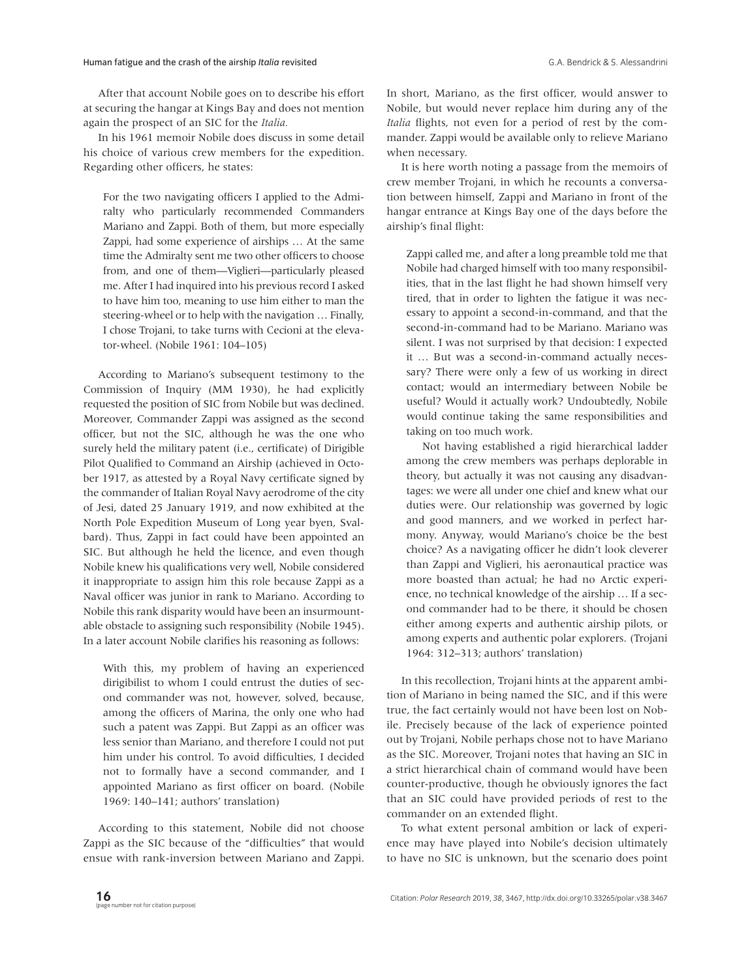After that account Nobile goes on to describe his effort at securing the hangar at Kings Bay and does not mention again the prospect of an SIC for the *Italia.*

In his 1961 memoir Nobile does discuss in some detail his choice of various crew members for the expedition. Regarding other officers, he states:

For the two navigating officers I applied to the Admiralty who particularly recommended Commanders Mariano and Zappi. Both of them, but more especially Zappi, had some experience of airships … At the same time the Admiralty sent me two other officers to choose from, and one of them—Viglieri—particularly pleased me. After I had inquired into his previous record I asked to have him too, meaning to use him either to man the steering-wheel or to help with the navigation … Finally, I chose Trojani, to take turns with Cecioni at the elevator-wheel. (Nobile 1961: 104–105)

According to Mariano's subsequent testimony to the Commission of Inquiry (MM 1930), he had explicitly requested the position of SIC from Nobile but was declined. Moreover, Commander Zappi was assigned as the second officer, but not the SIC, although he was the one who surely held the military patent (i.e., certificate) of Dirigible Pilot Qualified to Command an Airship (achieved in October 1917, as attested by a Royal Navy certificate signed by the commander of Italian Royal Navy aerodrome of the city of Jesi, dated 25 January 1919, and now exhibited at the North Pole Expedition Museum of Long year byen, Svalbard). Thus, Zappi in fact could have been appointed an SIC. But although he held the licence, and even though Nobile knew his qualifications very well, Nobile considered it inappropriate to assign him this role because Zappi as a Naval officer was junior in rank to Mariano. According to Nobile this rank disparity would have been an insurmountable obstacle to assigning such responsibility (Nobile 1945). In a later account Nobile clarifies his reasoning as follows:

With this, my problem of having an experienced dirigibilist to whom I could entrust the duties of second commander was not, however, solved, because, among the officers of Marina, the only one who had such a patent was Zappi. But Zappi as an officer was less senior than Mariano, and therefore I could not put him under his control. To avoid difficulties, I decided not to formally have a second commander, and I appointed Mariano as first officer on board. (Nobile 1969: 140–141; authors' translation)

According to this statement, Nobile did not choose Zappi as the SIC because of the "difficulties" that would ensue with rank-inversion between Mariano and Zappi. In short, Mariano, as the first officer, would answer to Nobile, but would never replace him during any of the *Italia* flights, not even for a period of rest by the commander. Zappi would be available only to relieve Mariano when necessary.

It is here worth noting a passage from the memoirs of crew member Trojani, in which he recounts a conversation between himself, Zappi and Mariano in front of the hangar entrance at Kings Bay one of the days before the airship's final flight:

Zappi called me, and after a long preamble told me that Nobile had charged himself with too many responsibilities, that in the last flight he had shown himself very tired, that in order to lighten the fatigue it was necessary to appoint a second-in-command, and that the second-in-command had to be Mariano. Mariano was silent. I was not surprised by that decision: I expected it … But was a second-in-command actually necessary? There were only a few of us working in direct contact; would an intermediary between Nobile be useful? Would it actually work? Undoubtedly, Nobile would continue taking the same responsibilities and taking on too much work.

Not having established a rigid hierarchical ladder among the crew members was perhaps deplorable in theory, but actually it was not causing any disadvantages: we were all under one chief and knew what our duties were. Our relationship was governed by logic and good manners, and we worked in perfect harmony. Anyway, would Mariano's choice be the best choice? As a navigating officer he didn't look cleverer than Zappi and Viglieri, his aeronautical practice was more boasted than actual; he had no Arctic experience, no technical knowledge of the airship … If a second commander had to be there, it should be chosen either among experts and authentic airship pilots, or among experts and authentic polar explorers. (Trojani 1964: 312–313; authors' translation)

In this recollection, Trojani hints at the apparent ambition of Mariano in being named the SIC, and if this were true, the fact certainly would not have been lost on Nobile. Precisely because of the lack of experience pointed out by Trojani, Nobile perhaps chose not to have Mariano as the SIC. Moreover, Trojani notes that having an SIC in a strict hierarchical chain of command would have been counter-productive, though he obviously ignores the fact that an SIC could have provided periods of rest to the commander on an extended flight.

To what extent personal ambition or lack of experience may have played into Nobile's decision ultimately to have no SIC is unknown, but the scenario does point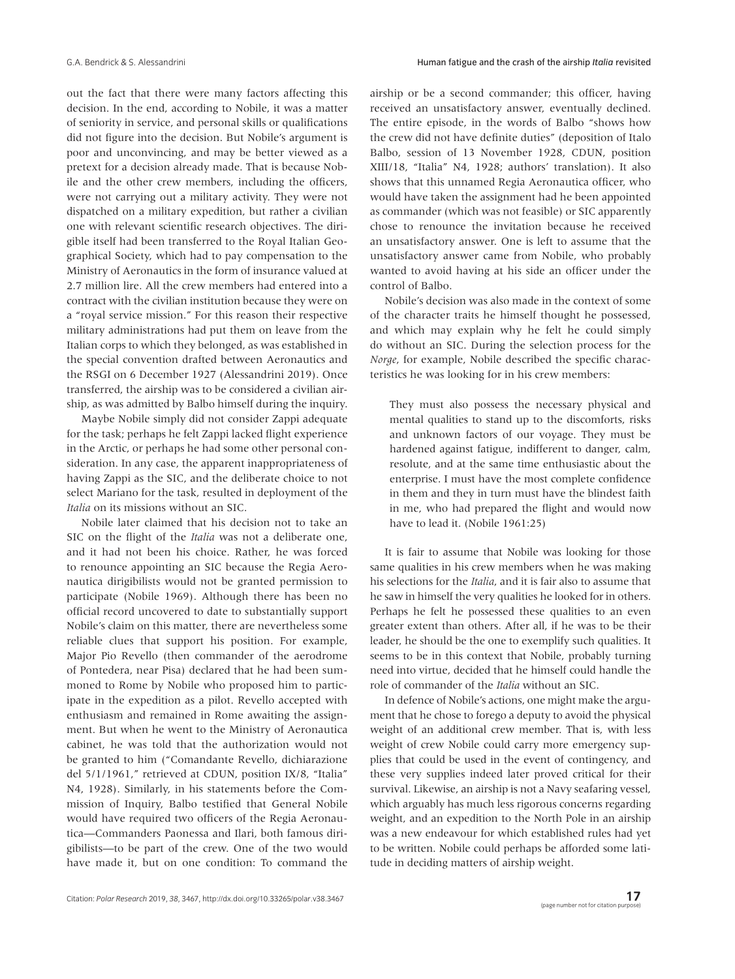out the fact that there were many factors affecting this decision. In the end, according to Nobile, it was a matter of seniority in service, and personal skills or qualifications did not figure into the decision. But Nobile's argument is poor and unconvincing, and may be better viewed as a pretext for a decision already made. That is because Nobile and the other crew members, including the officers, were not carrying out a military activity. They were not dispatched on a military expedition, but rather a civilian one with relevant scientific research objectives. The dirigible itself had been transferred to the Royal Italian Geographical Society, which had to pay compensation to the Ministry of Aeronautics in the form of insurance valued at 2.7 million lire. All the crew members had entered into a contract with the civilian institution because they were on a "royal service mission." For this reason their respective military administrations had put them on leave from the Italian corps to which they belonged, as was established in the special convention drafted between Aeronautics and the RSGI on 6 December 1927 (Alessandrini 2019). Once transferred, the airship was to be considered a civilian airship, as was admitted by Balbo himself during the inquiry.

Maybe Nobile simply did not consider Zappi adequate for the task; perhaps he felt Zappi lacked flight experience in the Arctic, or perhaps he had some other personal consideration. In any case, the apparent inappropriateness of having Zappi as the SIC, and the deliberate choice to not select Mariano for the task, resulted in deployment of the *Italia* on its missions without an SIC.

Nobile later claimed that his decision not to take an SIC on the flight of the *Italia* was not a deliberate one, and it had not been his choice. Rather, he was forced to renounce appointing an SIC because the Regia Aeronautica dirigibilists would not be granted permission to participate (Nobile 1969). Although there has been no official record uncovered to date to substantially support Nobile's claim on this matter, there are nevertheless some reliable clues that support his position. For example, Major Pio Revello (then commander of the aerodrome of Pontedera, near Pisa) declared that he had been summoned to Rome by Nobile who proposed him to participate in the expedition as a pilot. Revello accepted with enthusiasm and remained in Rome awaiting the assignment. But when he went to the Ministry of Aeronautica cabinet, he was told that the authorization would not be granted to him ("Comandante Revello, dichiarazione del 5/1/1961," retrieved at CDUN, position IX/8, "Italia" N4, 1928). Similarly, in his statements before the Commission of Inquiry, Balbo testified that General Nobile would have required two officers of the Regia Aeronautica—Commanders Paonessa and Ilari, both famous dirigibilists—to be part of the crew. One of the two would have made it, but on one condition: To command the airship or be a second commander; this officer, having received an unsatisfactory answer, eventually declined. The entire episode, in the words of Balbo "shows how the crew did not have definite duties" (deposition of Italo Balbo, session of 13 November 1928, CDUN, position XIII/18, "Italia" N4, 1928; authors' translation). It also shows that this unnamed Regia Aeronautica officer, who would have taken the assignment had he been appointed as commander (which was not feasible) or SIC apparently chose to renounce the invitation because he received an unsatisfactory answer. One is left to assume that the unsatisfactory answer came from Nobile, who probably wanted to avoid having at his side an officer under the control of Balbo.

Nobile's decision was also made in the context of some of the character traits he himself thought he possessed, and which may explain why he felt he could simply do without an SIC. During the selection process for the *Norge*, for example, Nobile described the specific characteristics he was looking for in his crew members:

They must also possess the necessary physical and mental qualities to stand up to the discomforts, risks and unknown factors of our voyage. They must be hardened against fatigue, indifferent to danger, calm, resolute, and at the same time enthusiastic about the enterprise. I must have the most complete confidence in them and they in turn must have the blindest faith in me, who had prepared the flight and would now have to lead it. (Nobile 1961:25)

It is fair to assume that Nobile was looking for those same qualities in his crew members when he was making his selections for the *Italia*, and it is fair also to assume that he saw in himself the very qualities he looked for in others. Perhaps he felt he possessed these qualities to an even greater extent than others. After all, if he was to be their leader, he should be the one to exemplify such qualities. It seems to be in this context that Nobile, probably turning need into virtue, decided that he himself could handle the role of commander of the *Italia* without an SIC.

In defence of Nobile's actions, one might make the argument that he chose to forego a deputy to avoid the physical weight of an additional crew member. That is, with less weight of crew Nobile could carry more emergency supplies that could be used in the event of contingency, and these very supplies indeed later proved critical for their survival. Likewise, an airship is not a Navy seafaring vessel, which arguably has much less rigorous concerns regarding weight, and an expedition to the North Pole in an airship was a new endeavour for which established rules had yet to be written. Nobile could perhaps be afforded some latitude in deciding matters of airship weight.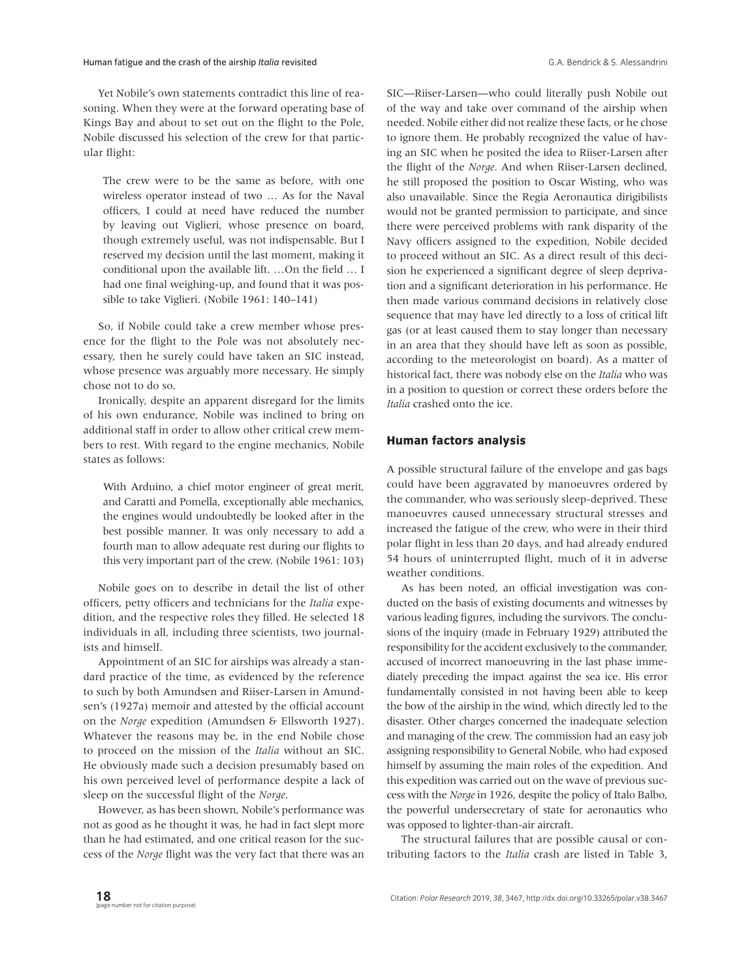Yet Nobile's own statements contradict this line of reasoning. When they were at the forward operating base of Kings Bay and about to set out on the flight to the Pole, Nobile discussed his selection of the crew for that particular flight:

The crew were to be the same as before, with one wireless operator instead of two … As for the Naval officers, I could at need have reduced the number by leaving out Viglieri, whose presence on board, though extremely useful, was not indispensable. But I reserved my decision until the last moment, making it conditional upon the available lift. …On the field … I had one final weighing-up, and found that it was possible to take Viglieri. (Nobile 1961: 140–141)

So, if Nobile could take a crew member whose presence for the flight to the Pole was not absolutely necessary, then he surely could have taken an SIC instead, whose presence was arguably more necessary. He simply chose not to do so.

Ironically, despite an apparent disregard for the limits of his own endurance, Nobile was inclined to bring on additional staff in order to allow other critical crew members to rest. With regard to the engine mechanics, Nobile states as follows:

With Arduino, a chief motor engineer of great merit, and Caratti and Pomella, exceptionally able mechanics, the engines would undoubtedly be looked after in the best possible manner. It was only necessary to add a fourth man to allow adequate rest during our flights to this very important part of the crew. (Nobile 1961: 103)

Nobile goes on to describe in detail the list of other officers, petty officers and technicians for the *Italia* expedition, and the respective roles they filled. He selected 18 individuals in all, including three scientists, two journalists and himself.

Appointment of an SIC for airships was already a standard practice of the time, as evidenced by the reference to such by both Amundsen and Riiser-Larsen in Amundsen's (1927a) memoir and attested by the official account on the *Norge* expedition (Amundsen & Ellsworth 1927). Whatever the reasons may be, in the end Nobile chose to proceed on the mission of the *Italia* without an SIC. He obviously made such a decision presumably based on his own perceived level of performance despite a lack of sleep on the successful flight of the *Norge*.

However, as has been shown, Nobile's performance was not as good as he thought it was, he had in fact slept more than he had estimated, and one critical reason for the success of the *Norge* flight was the very fact that there was an SIC—Riiser-Larsen—who could literally push Nobile out of the way and take over command of the airship when needed. Nobile either did not realize these facts, or he chose to ignore them. He probably recognized the value of having an SIC when he posited the idea to Riiser-Larsen after the flight of the *Norge*. And when Riiser-Larsen declined, he still proposed the position to Oscar Wisting, who was also unavailable. Since the Regia Aeronautica dirigibilists would not be granted permission to participate, and since there were perceived problems with rank disparity of the Navy officers assigned to the expedition, Nobile decided to proceed without an SIC. As a direct result of this decision he experienced a significant degree of sleep deprivation and a significant deterioration in his performance. He then made various command decisions in relatively close sequence that may have led directly to a loss of critical lift gas (or at least caused them to stay longer than necessary in an area that they should have left as soon as possible, according to the meteorologist on board). As a matter of historical fact, there was nobody else on the *Italia* who was in a position to question or correct these orders before the *Italia* crashed onto the ice.

## **Human factors analysis**

A possible structural failure of the envelope and gas bags could have been aggravated by manoeuvres ordered by the commander, who was seriously sleep-deprived. These manoeuvres caused unnecessary structural stresses and increased the fatigue of the crew, who were in their third polar flight in less than 20 days, and had already endured 54 hours of uninterrupted flight, much of it in adverse weather conditions.

As has been noted, an official investigation was conducted on the basis of existing documents and witnesses by various leading figures, including the survivors. The conclusions of the inquiry (made in February 1929) attributed the responsibility for the accident exclusively to the commander, accused of incorrect manoeuvring in the last phase immediately preceding the impact against the sea ice. His error fundamentally consisted in not having been able to keep the bow of the airship in the wind, which directly led to the disaster. Other charges concerned the inadequate selection and managing of the crew. The commission had an easy job assigning responsibility to General Nobile, who had exposed himself by assuming the main roles of the expedition. And this expedition was carried out on the wave of previous success with the *Norge* in 1926, despite the policy of Italo Balbo, the powerful undersecretary of state for aeronautics who was opposed to lighter-than-air aircraft.

The structural failures that are possible causal or contributing factors to the *Italia* crash are listed in Table 3,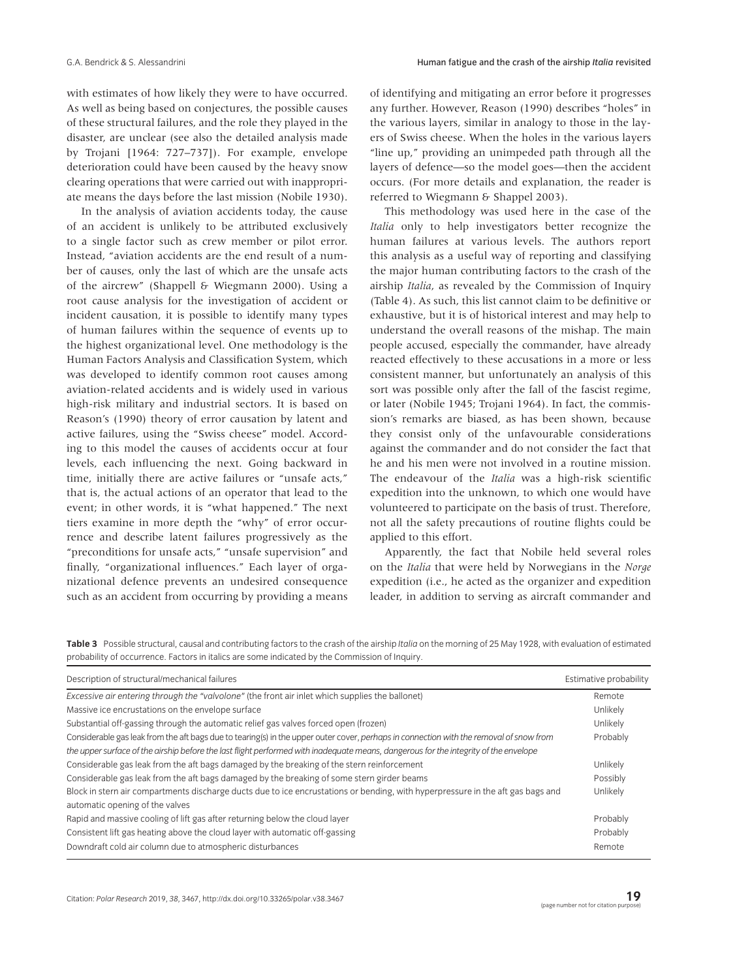with estimates of how likely they were to have occurred. As well as being based on conjectures, the possible causes of these structural failures, and the role they played in the disaster, are unclear (see also the detailed analysis made by Trojani [1964: 727–737]). For example, envelope deterioration could have been caused by the heavy snow clearing operations that were carried out with inappropriate means the days before the last mission (Nobile 1930).

In the analysis of aviation accidents today, the cause of an accident is unlikely to be attributed exclusively to a single factor such as crew member or pilot error. Instead, "aviation accidents are the end result of a number of causes, only the last of which are the unsafe acts of the aircrew" (Shappell & Wiegmann 2000). Using a root cause analysis for the investigation of accident or incident causation, it is possible to identify many types of human failures within the sequence of events up to the highest organizational level. One methodology is the Human Factors Analysis and Classification System, which was developed to identify common root causes among aviation-related accidents and is widely used in various high-risk military and industrial sectors. It is based on Reason's (1990) theory of error causation by latent and active failures, using the "Swiss cheese" model. According to this model the causes of accidents occur at four levels, each influencing the next. Going backward in time, initially there are active failures or "unsafe acts," that is, the actual actions of an operator that lead to the event; in other words, it is "what happened." The next tiers examine in more depth the "why" of error occurrence and describe latent failures progressively as the "preconditions for unsafe acts," "unsafe supervision" and finally, "organizational influences." Each layer of organizational defence prevents an undesired consequence such as an accident from occurring by providing a means of identifying and mitigating an error before it progresses any further. However, Reason (1990) describes "holes" in the various layers, similar in analogy to those in the layers of Swiss cheese. When the holes in the various layers "line up," providing an unimpeded path through all the layers of defence—so the model goes—then the accident occurs. (For more details and explanation, the reader is referred to Wiegmann & Shappel 2003).

This methodology was used here in the case of the *Italia* only to help investigators better recognize the human failures at various levels. The authors report this analysis as a useful way of reporting and classifying the major human contributing factors to the crash of the airship *Italia*, as revealed by the Commission of Inquiry (Table 4). As such, this list cannot claim to be definitive or exhaustive, but it is of historical interest and may help to understand the overall reasons of the mishap. The main people accused, especially the commander, have already reacted effectively to these accusations in a more or less consistent manner, but unfortunately an analysis of this sort was possible only after the fall of the fascist regime, or later (Nobile 1945; Trojani 1964). In fact, the commission's remarks are biased, as has been shown, because they consist only of the unfavourable considerations against the commander and do not consider the fact that he and his men were not involved in a routine mission. The endeavour of the *Italia* was a high-risk scientific expedition into the unknown, to which one would have volunteered to participate on the basis of trust. Therefore, not all the safety precautions of routine flights could be applied to this effort.

Apparently, the fact that Nobile held several roles on the *Italia* that were held by Norwegians in the *Norge* expedition (i.e., he acted as the organizer and expedition leader, in addition to serving as aircraft commander and

**Table 3** Possible structural, causal and contributing factors to the crash of the airship *Italia* on the morning of 25 May 1928, with evaluation of estimated probability of occurrence. Factors in italics are some indicated by the Commission of Inquiry.

| Description of structural/mechanical failures                                                                                                                      | Estimative probability |
|--------------------------------------------------------------------------------------------------------------------------------------------------------------------|------------------------|
| Excessive air entering through the "valvolone" (the front air inlet which supplies the ballonet)                                                                   | Remote                 |
| Massive ice encrustations on the envelope surface                                                                                                                  | Unlikely               |
| Substantial off-gassing through the automatic relief gas valves forced open (frozen)                                                                               | Unlikely               |
| Considerable gas leak from the aft bags due to tearing(s) in the upper outer cover, perhaps in connection with the removal of snow from                            | Probably               |
| the upper surface of the airship before the last flight performed with inadequate means, dangerous for the integrity of the envelope                               |                        |
| Considerable gas leak from the aft bags damaged by the breaking of the stern reinforcement                                                                         | Unlikely               |
| Considerable gas leak from the aft bags damaged by the breaking of some stern girder beams                                                                         | Possibly               |
| Block in stern air compartments discharge ducts due to ice encrustations or bending, with hyperpressure in the aft gas bags and<br>automatic opening of the valves | Unlikely               |
| Rapid and massive cooling of lift gas after returning below the cloud layer                                                                                        | Probably               |
| Consistent lift gas heating above the cloud layer with automatic off-gassing                                                                                       | Probably               |
| Downdraft cold air column due to atmospheric disturbances                                                                                                          | Remote                 |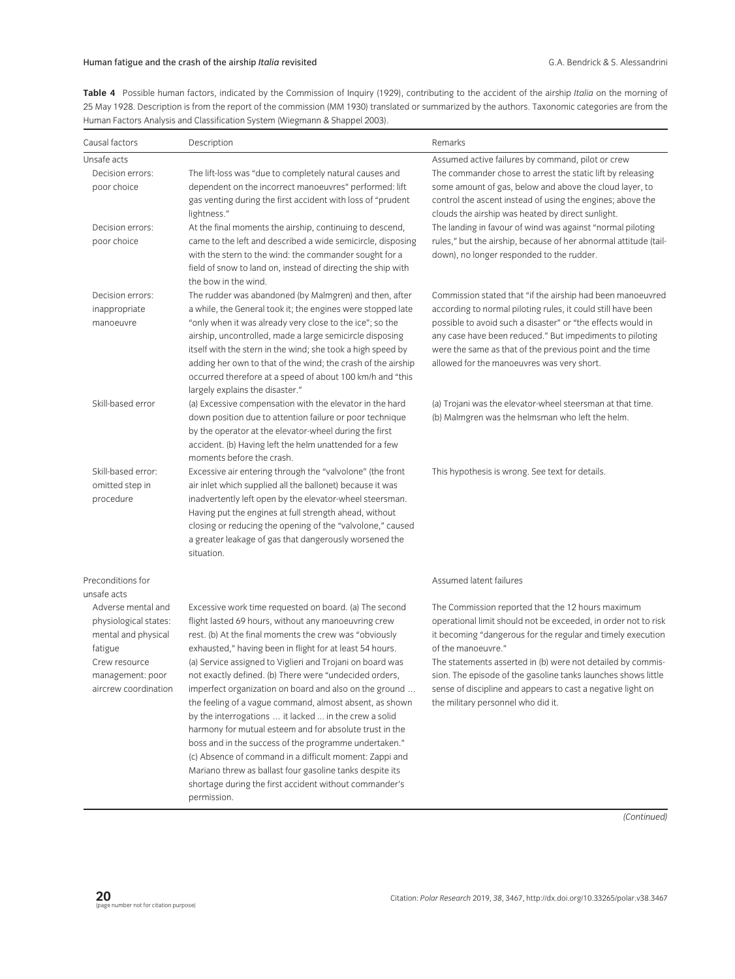**Table 4** Possible human factors, indicated by the Commission of Inquiry (1929), contributing to the accident of the airship *Italia* on the morning of 25 May 1928. Description is from the report of the commission (MM 1930) translated or summarized by the authors. Taxonomic categories are from the Human Factors Analysis and Classification System (Wiegmann & Shappel 2003).

| Causal factors                                                                                                                             | Description                                                                                                                                                                                                                                                                                                                                                                                                                                                                                                                                                                                                                                                                                                                                                                                                                                                   | Remarks                                                                                                                                                                                                                                                                                                                                                                                                                                       |
|--------------------------------------------------------------------------------------------------------------------------------------------|---------------------------------------------------------------------------------------------------------------------------------------------------------------------------------------------------------------------------------------------------------------------------------------------------------------------------------------------------------------------------------------------------------------------------------------------------------------------------------------------------------------------------------------------------------------------------------------------------------------------------------------------------------------------------------------------------------------------------------------------------------------------------------------------------------------------------------------------------------------|-----------------------------------------------------------------------------------------------------------------------------------------------------------------------------------------------------------------------------------------------------------------------------------------------------------------------------------------------------------------------------------------------------------------------------------------------|
| Unsafe acts                                                                                                                                |                                                                                                                                                                                                                                                                                                                                                                                                                                                                                                                                                                                                                                                                                                                                                                                                                                                               | Assumed active failures by command, pilot or crew                                                                                                                                                                                                                                                                                                                                                                                             |
| Decision errors:<br>poor choice                                                                                                            | The lift-loss was "due to completely natural causes and<br>dependent on the incorrect manoeuvres" performed: lift<br>gas venting during the first accident with loss of "prudent<br>lightness."                                                                                                                                                                                                                                                                                                                                                                                                                                                                                                                                                                                                                                                               | The commander chose to arrest the static lift by releasing<br>some amount of gas, below and above the cloud layer, to<br>control the ascent instead of using the engines; above the<br>clouds the airship was heated by direct sunlight.                                                                                                                                                                                                      |
| Decision errors:<br>poor choice                                                                                                            | At the final moments the airship, continuing to descend,<br>came to the left and described a wide semicircle, disposing<br>with the stern to the wind: the commander sought for a<br>field of snow to land on, instead of directing the ship with<br>the bow in the wind.                                                                                                                                                                                                                                                                                                                                                                                                                                                                                                                                                                                     | The landing in favour of wind was against "normal piloting<br>rules," but the airship, because of her abnormal attitude (tail-<br>down), no longer responded to the rudder.                                                                                                                                                                                                                                                                   |
| Decision errors:<br>inappropriate<br>manoeuvre                                                                                             | The rudder was abandoned (by Malmgren) and then, after<br>a while, the General took it; the engines were stopped late<br>"only when it was already very close to the ice"; so the<br>airship, uncontrolled, made a large semicircle disposing<br>itself with the stern in the wind; she took a high speed by<br>adding her own to that of the wind; the crash of the airship<br>occurred therefore at a speed of about 100 km/h and "this<br>largely explains the disaster."                                                                                                                                                                                                                                                                                                                                                                                  | Commission stated that "if the airship had been manoeuvred<br>according to normal piloting rules, it could still have been<br>possible to avoid such a disaster" or "the effects would in<br>any case have been reduced." But impediments to piloting<br>were the same as that of the previous point and the time<br>allowed for the manoeuvres was very short.                                                                               |
| Skill-based error                                                                                                                          | (a) Excessive compensation with the elevator in the hard<br>down position due to attention failure or poor technique<br>by the operator at the elevator-wheel during the first<br>accident. (b) Having left the helm unattended for a few<br>moments before the crash.                                                                                                                                                                                                                                                                                                                                                                                                                                                                                                                                                                                        | (a) Trojani was the elevator-wheel steersman at that time.<br>(b) Malmgren was the helmsman who left the helm.                                                                                                                                                                                                                                                                                                                                |
| Skill-based error:<br>omitted step in<br>procedure                                                                                         | Excessive air entering through the "valvolone" (the front<br>air inlet which supplied all the ballonet) because it was<br>inadvertently left open by the elevator-wheel steersman.<br>Having put the engines at full strength ahead, without<br>closing or reducing the opening of the "valvolone," caused<br>a greater leakage of gas that dangerously worsened the<br>situation.                                                                                                                                                                                                                                                                                                                                                                                                                                                                            | This hypothesis is wrong. See text for details.                                                                                                                                                                                                                                                                                                                                                                                               |
| Preconditions for<br>unsafe acts                                                                                                           |                                                                                                                                                                                                                                                                                                                                                                                                                                                                                                                                                                                                                                                                                                                                                                                                                                                               | Assumed latent failures                                                                                                                                                                                                                                                                                                                                                                                                                       |
| Adverse mental and<br>physiological states:<br>mental and physical<br>fatigue<br>Crew resource<br>management: poor<br>aircrew coordination | Excessive work time requested on board. (a) The second<br>flight lasted 69 hours, without any manoeuvring crew<br>rest. (b) At the final moments the crew was "obviously<br>exhausted," having been in flight for at least 54 hours.<br>(a) Service assigned to Viglieri and Trojani on board was<br>not exactly defined. (b) There were "undecided orders,<br>imperfect organization on board and also on the ground<br>the feeling of a vague command, almost absent, as shown<br>by the interrogations  it lacked  in the crew a solid<br>harmony for mutual esteem and for absolute trust in the<br>boss and in the success of the programme undertaken."<br>(c) Absence of command in a difficult moment: Zappi and<br>Mariano threw as ballast four gasoline tanks despite its<br>shortage during the first accident without commander's<br>permission. | The Commission reported that the 12 hours maximum<br>operational limit should not be exceeded, in order not to risk<br>it becoming "dangerous for the regular and timely execution<br>of the manoeuvre."<br>The statements asserted in (b) were not detailed by commis-<br>sion. The episode of the gasoline tanks launches shows little<br>sense of discipline and appears to cast a negative light on<br>the military personnel who did it. |

*(Continued)*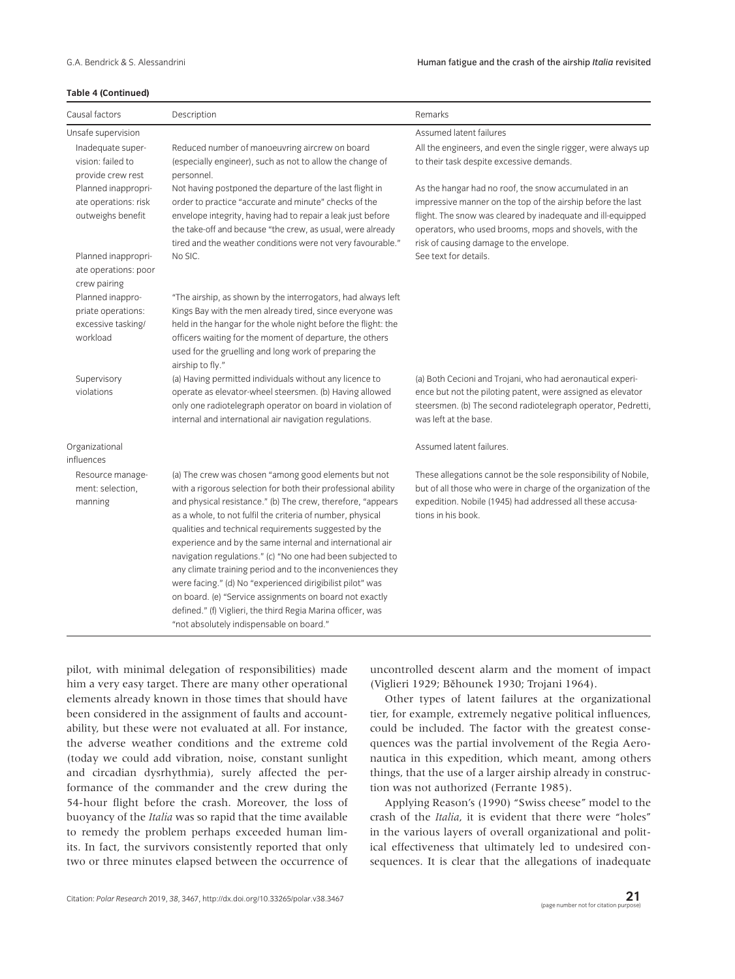#### **Table 4 (Continued)**

| Causal factors                                                           | Description                                                                                                                                                                                                                                                                                                                                                                                                                                                                                                                                                                                                                                                                                                                             | Remarks                                                                                                                                                                                                                                                                                  |
|--------------------------------------------------------------------------|-----------------------------------------------------------------------------------------------------------------------------------------------------------------------------------------------------------------------------------------------------------------------------------------------------------------------------------------------------------------------------------------------------------------------------------------------------------------------------------------------------------------------------------------------------------------------------------------------------------------------------------------------------------------------------------------------------------------------------------------|------------------------------------------------------------------------------------------------------------------------------------------------------------------------------------------------------------------------------------------------------------------------------------------|
| Unsafe supervision                                                       |                                                                                                                                                                                                                                                                                                                                                                                                                                                                                                                                                                                                                                                                                                                                         | Assumed latent failures                                                                                                                                                                                                                                                                  |
| Inadequate super-<br>vision: failed to<br>provide crew rest              | Reduced number of manoeuvring aircrew on board<br>(especially engineer), such as not to allow the change of<br>personnel.                                                                                                                                                                                                                                                                                                                                                                                                                                                                                                                                                                                                               | All the engineers, and even the single rigger, were always up<br>to their task despite excessive demands.                                                                                                                                                                                |
| Planned inappropri-<br>ate operations: risk<br>outweighs benefit         | Not having postponed the departure of the last flight in<br>order to practice "accurate and minute" checks of the<br>envelope integrity, having had to repair a leak just before<br>the take-off and because "the crew, as usual, were already<br>tired and the weather conditions were not very favourable."                                                                                                                                                                                                                                                                                                                                                                                                                           | As the hangar had no roof, the snow accumulated in an<br>impressive manner on the top of the airship before the last<br>flight. The snow was cleared by inadequate and ill-equipped<br>operators, who used brooms, mops and shovels, with the<br>risk of causing damage to the envelope. |
| Planned inappropri-<br>ate operations: poor<br>crew pairing              | No SIC.                                                                                                                                                                                                                                                                                                                                                                                                                                                                                                                                                                                                                                                                                                                                 | See text for details.                                                                                                                                                                                                                                                                    |
| Planned inappro-<br>priate operations:<br>excessive tasking/<br>workload | "The airship, as shown by the interrogators, had always left<br>Kings Bay with the men already tired, since everyone was<br>held in the hangar for the whole night before the flight: the<br>officers waiting for the moment of departure, the others<br>used for the gruelling and long work of preparing the<br>airship to fly."                                                                                                                                                                                                                                                                                                                                                                                                      |                                                                                                                                                                                                                                                                                          |
| Supervisory<br>violations                                                | (a) Having permitted individuals without any licence to<br>operate as elevator-wheel steersmen. (b) Having allowed<br>only one radiotelegraph operator on board in violation of<br>internal and international air navigation regulations.                                                                                                                                                                                                                                                                                                                                                                                                                                                                                               | (a) Both Cecioni and Trojani, who had aeronautical experi-<br>ence but not the piloting patent, were assigned as elevator<br>steersmen. (b) The second radiotelegraph operator, Pedretti,<br>was left at the base.                                                                       |
| Organizational<br>influences                                             |                                                                                                                                                                                                                                                                                                                                                                                                                                                                                                                                                                                                                                                                                                                                         | Assumed latent failures.                                                                                                                                                                                                                                                                 |
| Resource manage-<br>ment: selection,<br>manning                          | (a) The crew was chosen "among good elements but not<br>with a rigorous selection for both their professional ability<br>and physical resistance." (b) The crew, therefore, "appears<br>as a whole, to not fulfil the criteria of number, physical<br>qualities and technical requirements suggested by the<br>experience and by the same internal and international air<br>navigation regulations." (c) "No one had been subjected to<br>any climate training period and to the inconveniences they<br>were facing." (d) No "experienced dirigibilist pilot" was<br>on board. (e) "Service assignments on board not exactly<br>defined." (f) Viglieri, the third Regia Marina officer, was<br>"not absolutely indispensable on board." | These allegations cannot be the sole responsibility of Nobile,<br>but of all those who were in charge of the organization of the<br>expedition. Nobile (1945) had addressed all these accusa-<br>tions in his book.                                                                      |

pilot, with minimal delegation of responsibilities) made him a very easy target. There are many other operational elements already known in those times that should have been considered in the assignment of faults and accountability, but these were not evaluated at all. For instance, the adverse weather conditions and the extreme cold (today we could add vibration, noise, constant sunlight and circadian dysrhythmia), surely affected the performance of the commander and the crew during the 54-hour flight before the crash. Moreover, the loss of buoyancy of the *Italia* was so rapid that the time available to remedy the problem perhaps exceeded human limits. In fact, the survivors consistently reported that only two or three minutes elapsed between the occurrence of

uncontrolled descent alarm and the moment of impact (Viglieri 1929; Běhounek 1930; Trojani 1964).

Other types of latent failures at the organizational tier, for example, extremely negative political influences, could be included. The factor with the greatest consequences was the partial involvement of the Regia Aeronautica in this expedition, which meant, among others things, that the use of a larger airship already in construction was not authorized (Ferrante 1985).

Applying Reason's (1990) "Swiss cheese" model to the crash of the *Italia*, it is evident that there were "holes" in the various layers of overall organizational and political effectiveness that ultimately led to undesired consequences. It is clear that the allegations of inadequate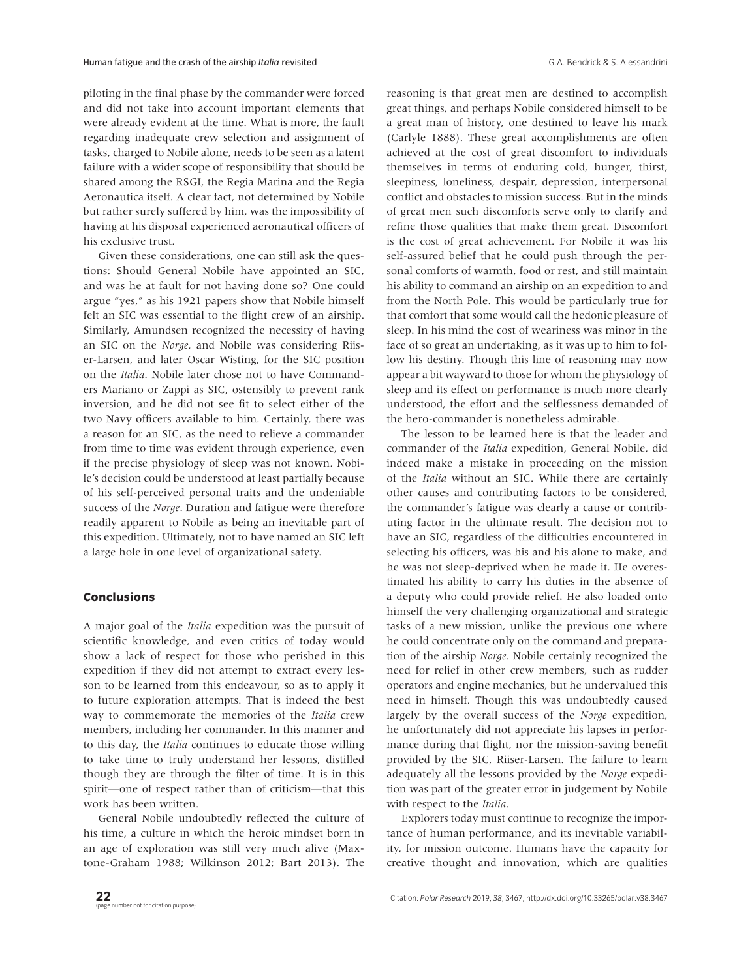piloting in the final phase by the commander were forced and did not take into account important elements that were already evident at the time. What is more, the fault regarding inadequate crew selection and assignment of tasks, charged to Nobile alone, needs to be seen as a latent failure with a wider scope of responsibility that should be shared among the RSGI, the Regia Marina and the Regia Aeronautica itself. A clear fact, not determined by Nobile but rather surely suffered by him, was the impossibility of having at his disposal experienced aeronautical officers of his exclusive trust.

Given these considerations, one can still ask the questions: Should General Nobile have appointed an SIC, and was he at fault for not having done so? One could argue "yes," as his 1921 papers show that Nobile himself felt an SIC was essential to the flight crew of an airship. Similarly, Amundsen recognized the necessity of having an SIC on the *Norge*, and Nobile was considering Riiser-Larsen, and later Oscar Wisting, for the SIC position on the *Italia*. Nobile later chose not to have Commanders Mariano or Zappi as SIC, ostensibly to prevent rank inversion, and he did not see fit to select either of the two Navy officers available to him. Certainly, there was a reason for an SIC, as the need to relieve a commander from time to time was evident through experience, even if the precise physiology of sleep was not known. Nobile's decision could be understood at least partially because of his self-perceived personal traits and the undeniable success of the *Norge*. Duration and fatigue were therefore readily apparent to Nobile as being an inevitable part of this expedition. Ultimately, not to have named an SIC left a large hole in one level of organizational safety.

## **Conclusions**

A major goal of the *Italia* expedition was the pursuit of scientific knowledge, and even critics of today would show a lack of respect for those who perished in this expedition if they did not attempt to extract every lesson to be learned from this endeavour, so as to apply it to future exploration attempts. That is indeed the best way to commemorate the memories of the *Italia* crew members, including her commander. In this manner and to this day, the *Italia* continues to educate those willing to take time to truly understand her lessons, distilled though they are through the filter of time. It is in this spirit—one of respect rather than of criticism—that this work has been written.

General Nobile undoubtedly reflected the culture of his time, a culture in which the heroic mindset born in an age of exploration was still very much alive (Maxtone-Graham 1988; Wilkinson 2012; Bart 2013). The reasoning is that great men are destined to accomplish great things, and perhaps Nobile considered himself to be a great man of history, one destined to leave his mark (Carlyle 1888). These great accomplishments are often achieved at the cost of great discomfort to individuals themselves in terms of enduring cold, hunger, thirst, sleepiness, loneliness, despair, depression, interpersonal conflict and obstacles to mission success. But in the minds of great men such discomforts serve only to clarify and refine those qualities that make them great. Discomfort is the cost of great achievement. For Nobile it was his self-assured belief that he could push through the personal comforts of warmth, food or rest, and still maintain his ability to command an airship on an expedition to and from the North Pole. This would be particularly true for that comfort that some would call the hedonic pleasure of sleep. In his mind the cost of weariness was minor in the face of so great an undertaking, as it was up to him to follow his destiny. Though this line of reasoning may now appear a bit wayward to those for whom the physiology of sleep and its effect on performance is much more clearly understood, the effort and the selflessness demanded of the hero-commander is nonetheless admirable.

The lesson to be learned here is that the leader and commander of the *Italia* expedition, General Nobile, did indeed make a mistake in proceeding on the mission of the *Italia* without an SIC. While there are certainly other causes and contributing factors to be considered, the commander's fatigue was clearly a cause or contributing factor in the ultimate result. The decision not to have an SIC, regardless of the difficulties encountered in selecting his officers, was his and his alone to make, and he was not sleep-deprived when he made it. He overestimated his ability to carry his duties in the absence of a deputy who could provide relief. He also loaded onto himself the very challenging organizational and strategic tasks of a new mission, unlike the previous one where he could concentrate only on the command and preparation of the airship *Norge*. Nobile certainly recognized the need for relief in other crew members, such as rudder operators and engine mechanics, but he undervalued this need in himself. Though this was undoubtedly caused largely by the overall success of the *Norge* expedition, he unfortunately did not appreciate his lapses in performance during that flight, nor the mission-saving benefit provided by the SIC, Riiser-Larsen. The failure to learn adequately all the lessons provided by the *Norge* expedition was part of the greater error in judgement by Nobile with respect to the *Italia*.

Explorers today must continue to recognize the importance of human performance, and its inevitable variability, for mission outcome. Humans have the capacity for creative thought and innovation, which are qualities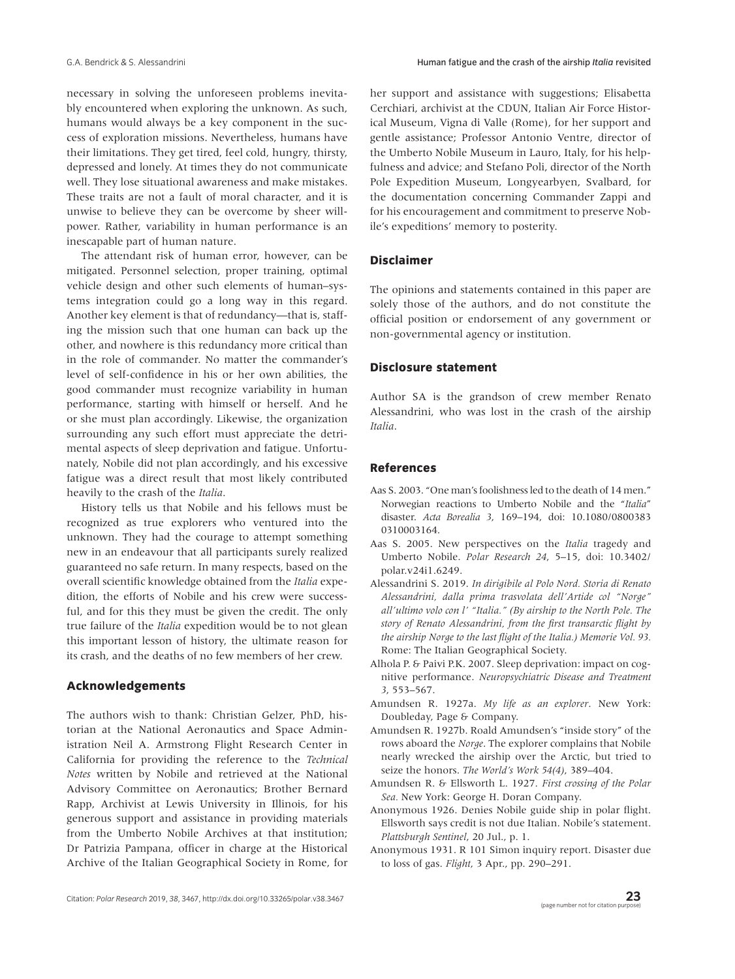necessary in solving the unforeseen problems inevitably encountered when exploring the unknown. As such, humans would always be a key component in the success of exploration missions. Nevertheless, humans have their limitations. They get tired, feel cold, hungry, thirsty, depressed and lonely. At times they do not communicate well. They lose situational awareness and make mistakes. These traits are not a fault of moral character, and it is unwise to believe they can be overcome by sheer willpower. Rather, variability in human performance is an inescapable part of human nature.

The attendant risk of human error, however, can be mitigated. Personnel selection, proper training, optimal vehicle design and other such elements of human–systems integration could go a long way in this regard. Another key element is that of redundancy—that is, staffing the mission such that one human can back up the other, and nowhere is this redundancy more critical than in the role of commander. No matter the commander's level of self-confidence in his or her own abilities, the good commander must recognize variability in human performance, starting with himself or herself. And he or she must plan accordingly. Likewise, the organization surrounding any such effort must appreciate the detrimental aspects of sleep deprivation and fatigue. Unfortunately, Nobile did not plan accordingly, and his excessive fatigue was a direct result that most likely contributed heavily to the crash of the *Italia*.

History tells us that Nobile and his fellows must be recognized as true explorers who ventured into the unknown. They had the courage to attempt something new in an endeavour that all participants surely realized guaranteed no safe return. In many respects, based on the overall scientific knowledge obtained from the *Italia* expedition, the efforts of Nobile and his crew were successful, and for this they must be given the credit. The only true failure of the *Italia* expedition would be to not glean this important lesson of history, the ultimate reason for its crash, and the deaths of no few members of her crew.

# **Acknowledgements**

The authors wish to thank: Christian Gelzer, PhD, historian at the National Aeronautics and Space Administration Neil A. Armstrong Flight Research Center in California for providing the reference to the *Technical Notes* written by Nobile and retrieved at the National Advisory Committee on Aeronautics; Brother Bernard Rapp, Archivist at Lewis University in Illinois, for his generous support and assistance in providing materials from the Umberto Nobile Archives at that institution; Dr Patrizia Pampana, officer in charge at the Historical Archive of the Italian Geographical Society in Rome, for her support and assistance with suggestions; Elisabetta Cerchiari, archivist at the CDUN, Italian Air Force Historical Museum, Vigna di Valle (Rome), for her support and gentle assistance; Professor Antonio Ventre, director of the Umberto Nobile Museum in Lauro, Italy, for his helpfulness and advice; and Stefano Poli, director of the North Pole Expedition Museum, Longyearbyen, Svalbard, for the documentation concerning Commander Zappi and for his encouragement and commitment to preserve Nobile's expeditions' memory to posterity.

## **Disclaimer**

The opinions and statements contained in this paper are solely those of the authors, and do not constitute the official position or endorsement of any government or non-governmental agency or institution.

#### **Disclosure statement**

Author SA is the grandson of crew member Renato Alessandrini, who was lost in the crash of the airship *Italia*.

## **References**

- Aas S. 2003. "One man's foolishness led to the death of 14 men." Norwegian reactions to Umberto Nobile and the "*Italia*" disaster. *Acta Borealia 3*, 169–194, doi: [10.1080/0800383](https://doi.org/10.1080/0800383 0310003164) [0310003164](https://doi.org/10.1080/0800383 0310003164).
- Aas S. 2005. New perspectives on the *Italia* tragedy and Umberto Nobile. *Polar Research 24*, 5–15, [doi: 10.3402/](https://doi.org/10.3402/polar.v24i1.6249) [polar.v24i1.6249.](https://doi.org/10.3402/polar.v24i1.6249)
- Alessandrini S. 2019. *In dirigibile al Polo Nord. Storia di Renato Alessandrini, dalla prima trasvolata dell'Artide col "Norge" all'ultimo volo con l' "Italia." (By airship to the North Pole. The story of Renato Alessandrini, from the first transarctic flight by the airship Norge to the last flight of the Italia.) Memorie Vol. 93.* Rome: The Italian Geographical Society.
- Alhola P. & Paivi P.K. 2007. Sleep deprivation: impact on cognitive performance. *Neuropsychiatric Disease and Treatment 3*, 553–567.
- Amundsen R. 1927a. *My life as an explorer*. New York: Doubleday, Page & Company.
- Amundsen R. 1927b. Roald Amundsen's "inside story" of the rows aboard the *Norge*. The explorer complains that Nobile nearly wrecked the airship over the Arctic, but tried to seize the honors. *The World's Work 54(4)*, 389–404.
- Amundsen R. & Ellsworth L. 1927. *First crossing of the Polar Sea.* New York: George H. Doran Company.
- Anonymous 1926. Denies Nobile guide ship in polar flight. Ellsworth says credit is not due Italian. Nobile's statement. *Plattsburgh Sentinel*, 20 Jul., p. 1.
- Anonymous 1931. R 101 Simon inquiry report. Disaster due to loss of gas. *Flight*, 3 Apr., pp. 290–291.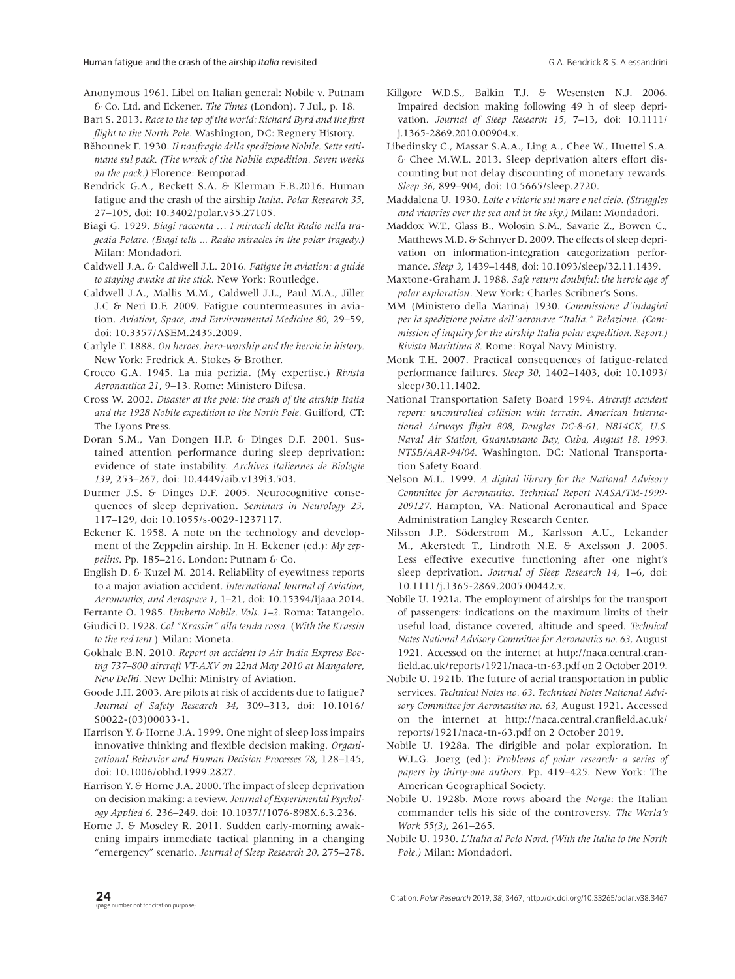- Anonymous 1961. Libel on Italian general: Nobile v. Putnam & Co. Ltd. and Eckener. *The Times* (London), 7 Jul., p. 18.
- Bart S. 2013. *Race to the top of the world: Richard Byrd and the first flight to the North Pole*. Washington, DC: Regnery History.
- Běhounek F. 1930. *Il naufragio della spedizione Nobile. Sette settimane sul pack. (The wreck of the Nobile expedition. Seven weeks on the pack.)* Florence: Bemporad.
- Bendrick G.A., Beckett S.A. & Klerman E.B.2016. Human fatigue and the crash of the airship *Italia*. *Polar Research 35*, 27–105, doi: [10.3402/polar.v35.27105.](https://doi.org/10.3402/polar.v35.27105)
- Biagi G. 1929. *Biagi racconta … I miracoli della Radio nella tragedia Polare. (Biagi tells ... Radio miracles in the polar tragedy.)* Milan: Mondadori.
- Caldwell J.A. & Caldwell J.L. 2016. *Fatigue in aviation: a guide to staying awake at the stick*. New York: Routledge.
- Caldwell J.A., Mallis M.M., Caldwell J.L., Paul M.A., Jiller J.C & Neri D.F. 2009. Fatigue countermeasures in aviation. *Aviation, Space, and Environmental Medicine 80*, 29–59, doi: [10.3357/ASEM.2435.2009.](https://doi.org/10.3357/ASEM.2435.2009)
- Carlyle T. 1888. *On heroes, hero-worship and the heroic in history.* New York: Fredrick A. Stokes & Brother.
- Crocco G.A. 1945. La mia perizia. (My expertise.) *Rivista Aeronautica 21*, 9–13. Rome: Ministero Difesa.
- Cross W. 2002. *Disaster at the pole: the crash of the airship Italia and the 1928 Nobile expedition to the North Pole.* Guilford, CT: The Lyons Press.
- Doran S.M., Van Dongen H.P. & Dinges D.F. 2001. Sustained attention performance during sleep deprivation: evidence of state instability. *Archives Italiennes de Biologie 139*, 253–267, doi: [10.4449/aib.v139i3.503.](https://doi.org/10.4449/aib.v139i3.503)
- Durmer J.S. & Dinges D.F. 2005. Neurocognitive consequences of sleep deprivation. *Seminars in Neurology 25*, 117–129, doi: [10.1055/s-0029-1237117](https://doi.org/10.1055/s-0029-1237117).
- Eckener K. 1958. A note on the technology and development of the Zeppelin airship. In H. Eckener (ed.): *My zeppelins*. Pp. 185–216. London: Putnam & Co.
- English D. & Kuzel M. 2014. Reliability of eyewitness reports to a major aviation accident. *International Journal of Aviation, Aeronautics, and Aerospace 1*, 1–21, doi: 10.15394/ijaaa.2014.
- Ferrante O. 1985. *Umberto Nobile. Vols. 1–2.* Roma: Tatangelo.
- Giudici D. 1928. *Col "Krassin" alla tenda rossa.* (*With the Krassin to the red tent.*) Milan: Moneta.
- Gokhale B.N. 2010. *Report on accident to Air India Express Boeing 737–800 aircraft VT-AXV on 22nd May 2010 at Mangalore, New Delhi.* New Delhi: Ministry of Aviation.
- Goode J.H. 2003. Are pilots at risk of accidents due to fatigue? *Journal of Safety Research 34*, 309–313, doi: [10.1016/](https://doi.org/10.1016/S0022-(03)00033-1) [S0022-\(03\)00033-1](https://doi.org/10.1016/S0022-(03)00033-1).
- Harrison Y. & Horne J.A. 1999. One night of sleep loss impairs innovative thinking and flexible decision making. *Organizational Behavior and Human Decision Processes 78*, 128–145, doi: [10.1006/obhd.1999.2827.](https://doi.org/10.1006/obhd.1999.2827)
- Harrison Y. & Horne J.A. 2000. The impact of sleep deprivation on decision making: a review. *Journal of Experimental Psychology Applied 6*, 236–249, doi: [10.1037//1076-898X.6.3.236](https://doi.org/10.1037//1076-898X.6.3.236).
- Horne J. & Moseley R. 2011. Sudden early-morning awakening impairs immediate tactical planning in a changing "emergency" scenario. *Journal of Sleep Research 20*, 275–278.
- Killgore W.D.S., Balkin T.J. & Wesensten N.J. 2006. Impaired decision making following 49 h of sleep deprivation. *Journal of Sleep Research 15*, 7–13, doi: [10.1111/](https://doi.org/10.1111/ j.1365-2869.2010.00904.x) [j.1365-2869.2010.00904.x.](https://doi.org/10.1111/ j.1365-2869.2010.00904.x)
- Libedinsky C., Massar S.A.A., Ling A., Chee W., Huettel S.A. & Chee M.W.L. 2013. Sleep deprivation alters effort discounting but not delay discounting of monetary rewards. *Sleep 36*, 899–904, doi: [10.5665/sleep.2720.](https://doi.org/10.5665/sleep.2720)
- Maddalena U. 1930. *Lotte e vittorie sul mare e nel cielo. (Struggles and victories over the sea and in the sky.)* Milan: Mondadori.
- Maddox W.T., Glass B., Wolosin S.M., Savarie Z., Bowen C., Matthews M.D. & Schnyer D. 2009. The effects of sleep deprivation on information-integration categorization performance. *Sleep 3*, 1439–1448, doi: [10.1093/sleep/32.11.1439.](https://doi.org/10.1093/sleep/32.11.1439)
- Maxtone-Graham J. 1988. *Safe return doubtful: the heroic age of polar exploration*. New York: Charles Scribner's Sons.
- MM (Ministero della Marina) 1930. *Commissione d'indagini per la spedizione polare dell'aeronave "Italia." Relazione. (Commission of inquiry for the airship Italia polar expedition. Report.) Rivista Marittima 8.* Rome: Royal Navy Ministry.
- Monk T.H. 2007. Practical consequences of fatigue-related performance failures. *Sleep 30*, 1402–1403, doi: [10.1093/](https://doi.org/10.1093/sleep/30.11.1402) [sleep/30.11.1402](https://doi.org/10.1093/sleep/30.11.1402).
- National Transportation Safety Board 1994. *Aircraft accident report: uncontrolled collision with terrain, American International Airways flight 808, Douglas DC-8-61, N814CK, U.S. Naval Air Station, Guantanamo Bay, Cuba, August 18, 1993. NTSB/AAR-94/04.* Washington, DC: National Transportation Safety Board.
- Nelson M.L. 1999. *A digital library for the National Advisory Committee for Aeronautics. Technical Report NASA/TM-1999- 209127.* Hampton, VA: National Aeronautical and Space Administration Langley Research Center.
- Nilsson J.P., Söderstrom M., Karlsson A.U., Lekander M., Akerstedt T., Lindroth N.E. & Axelsson J. 2005. Less effective executive functioning after one night's sleep deprivation. *Journal of Sleep Research 14*, 1–6, doi: [10.1111/j.1365-2869.2005.00442.x.](http://doi.org/10.1111/j.1365-2869.2005.00442.x)
- Nobile U. 1921a. The employment of airships for the transport of passengers: indications on the maximum limits of their useful load, distance covered, altitude and speed. *Technical Notes National Advisory Committee for Aeronautics no. 63*, August 1921. Accessed on the internet at [http://naca.central.cran](http://naca.central.cranfield.ac.uk/reports/1921/naca-tn-63.pdf)[field.ac.uk/reports/1921/naca-tn-63.pdf](http://naca.central.cranfield.ac.uk/reports/1921/naca-tn-63.pdf) on 2 October 2019.
- Nobile U. 1921b. The future of aerial transportation in public services. *Technical Notes no. 63. Technical Notes National Advisory Committee for Aeronautics no. 63*, August 1921. Accessed on the internet at [http://naca.central.cranfield.ac.uk/](http://naca.central.cranfield.ac.uk/reports/1921/naca-tn-63.pdf) [reports/1921/naca-tn-63.pdf](http://naca.central.cranfield.ac.uk/reports/1921/naca-tn-63.pdf) on 2 October 2019.
- Nobile U. 1928a. The dirigible and polar exploration. In W.L.G. Joerg (ed.): *Problems of polar research: a series of papers by thirty-one authors.* Pp. 419–425. New York: The American Geographical Society.
- Nobile U. 1928b. More rows aboard the *Norge*: the Italian commander tells his side of the controversy. *The World's Work 55(3)*, 261–265.
- Nobile U. 1930. *L'Italia al Polo Nord. (With the Italia to the North Pole.)* Milan: Mondadori.